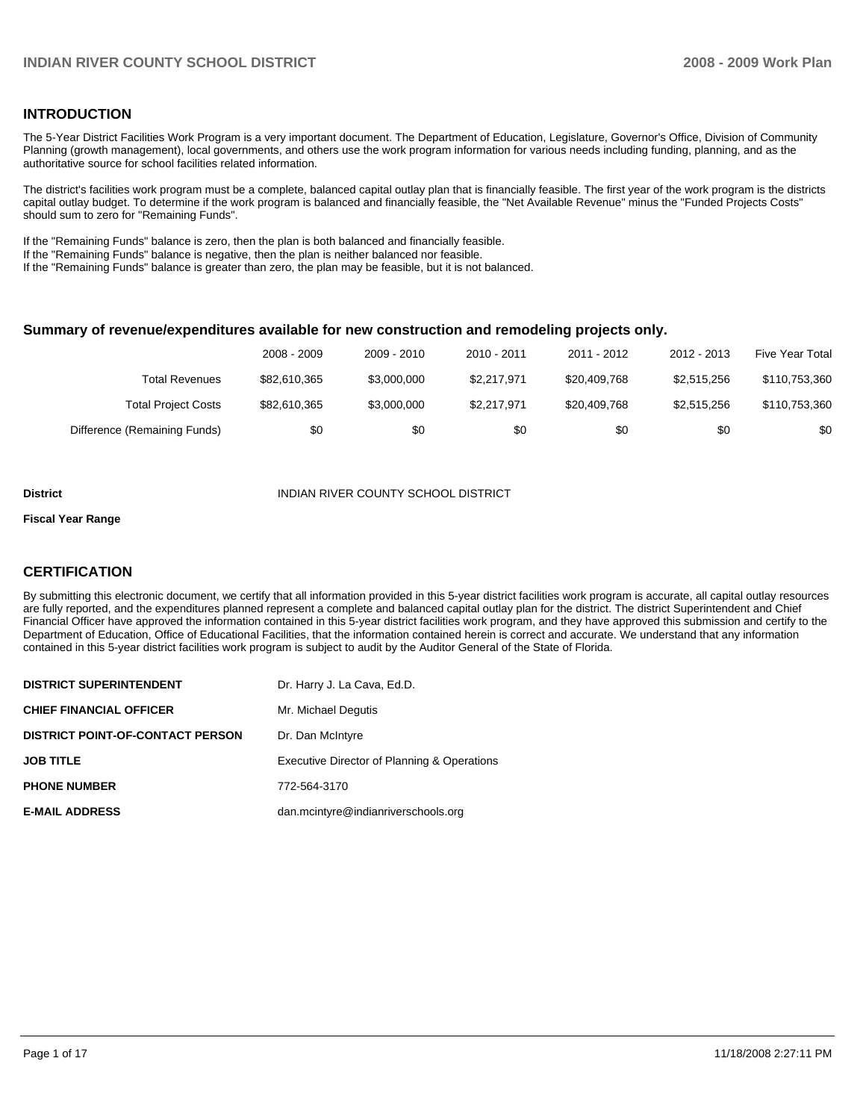#### **INTRODUCTION**

The 5-Year District Facilities Work Program is a very important document. The Department of Education, Legislature, Governor's Office, Division of Community Planning (growth management), local governments, and others use the work program information for various needs including funding, planning, and as the authoritative source for school facilities related information.

The district's facilities work program must be a complete, balanced capital outlay plan that is financially feasible. The first year of the work program is the districts capital outlay budget. To determine if the work program is balanced and financially feasible, the "Net Available Revenue" minus the "Funded Projects Costs" should sum to zero for "Remaining Funds".

If the "Remaining Funds" balance is zero, then the plan is both balanced and financially feasible.

If the "Remaining Funds" balance is negative, then the plan is neither balanced nor feasible.

If the "Remaining Funds" balance is greater than zero, the plan may be feasible, but it is not balanced.

#### **Summary of revenue/expenditures available for new construction and remodeling projects only.**

|                              | 2008 - 2009  | 2009 - 2010 | $2010 - 2011$ | 2011 - 2012  | 2012 - 2013 | Five Year Total |
|------------------------------|--------------|-------------|---------------|--------------|-------------|-----------------|
| <b>Total Revenues</b>        | \$82,610,365 | \$3,000,000 | \$2.217.971   | \$20,409,768 | \$2.515.256 | \$110,753,360   |
| <b>Total Project Costs</b>   | \$82,610,365 | \$3,000,000 | \$2.217.971   | \$20,409,768 | \$2,515,256 | \$110,753,360   |
| Difference (Remaining Funds) | \$0          | \$0         | \$0           | \$0          | \$0         | \$0             |

#### **District** INDIAN RIVER COUNTY SCHOOL DISTRICT

#### **Fiscal Year Range**

#### **CERTIFICATION**

By submitting this electronic document, we certify that all information provided in this 5-year district facilities work program is accurate, all capital outlay resources are fully reported, and the expenditures planned represent a complete and balanced capital outlay plan for the district. The district Superintendent and Chief Financial Officer have approved the information contained in this 5-year district facilities work program, and they have approved this submission and certify to the Department of Education, Office of Educational Facilities, that the information contained herein is correct and accurate. We understand that any information contained in this 5-year district facilities work program is subject to audit by the Auditor General of the State of Florida.

| <b>DISTRICT SUPERINTENDENT</b>          | Dr. Harry J. La Cava, Ed.D.                 |
|-----------------------------------------|---------------------------------------------|
| <b>CHIEF FINANCIAL OFFICER</b>          | Mr. Michael Degutis                         |
| <b>DISTRICT POINT-OF-CONTACT PERSON</b> | Dr. Dan McIntyre                            |
| <b>JOB TITLE</b>                        | Executive Director of Planning & Operations |
| <b>PHONE NUMBER</b>                     | 772-564-3170                                |
| <b>E-MAIL ADDRESS</b>                   | dan.mcintyre@indianriverschools.org         |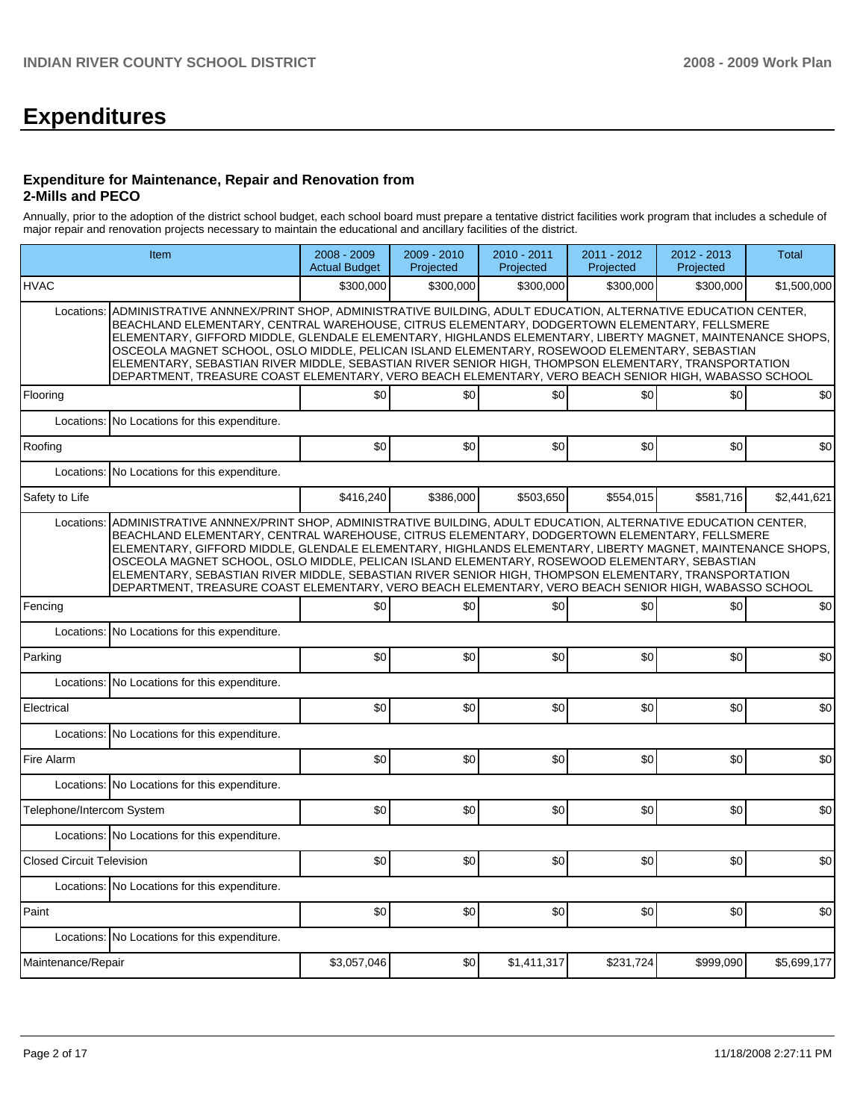# **Expenditures**

#### **Expenditure for Maintenance, Repair and Renovation from 2-Mills and PECO**

Annually, prior to the adoption of the district school budget, each school board must prepare a tentative district facilities work program that includes a schedule of major repair and renovation projects necessary to maintain the educational and ancillary facilities of the district.

|                                  | Item                                                                                                                                                                                                                                                                                                                                                                                                                                                                                                                                                                                                                                    | 2008 - 2009<br><b>Actual Budget</b> | 2009 - 2010<br>Projected | 2010 - 2011<br>Projected | 2011 - 2012<br>Projected | 2012 - 2013<br>Projected | Total       |  |  |  |  |
|----------------------------------|-----------------------------------------------------------------------------------------------------------------------------------------------------------------------------------------------------------------------------------------------------------------------------------------------------------------------------------------------------------------------------------------------------------------------------------------------------------------------------------------------------------------------------------------------------------------------------------------------------------------------------------------|-------------------------------------|--------------------------|--------------------------|--------------------------|--------------------------|-------------|--|--|--|--|
| <b>HVAC</b>                      |                                                                                                                                                                                                                                                                                                                                                                                                                                                                                                                                                                                                                                         | \$300,000                           | \$300,000                | \$300,000                | \$300,000                | \$300,000                | \$1,500,000 |  |  |  |  |
| Locations:                       | ADMINISTRATIVE ANNNEX/PRINT SHOP, ADMINISTRATIVE BUILDING, ADULT EDUCATION, ALTERNATIVE EDUCATION CENTER,<br>BEACHLAND ELEMENTARY, CENTRAL WAREHOUSE, CITRUS ELEMENTARY, DODGERTOWN ELEMENTARY, FELLSMERE<br>ELEMENTARY, GIFFORD MIDDLE, GLENDALE ELEMENTARY, HIGHLANDS ELEMENTARY, LIBERTY MAGNET, MAINTENANCE SHOPS,<br>OSCEOLA MAGNET SCHOOL, OSLO MIDDLE, PELICAN ISLAND ELEMENTARY, ROSEWOOD ELEMENTARY, SEBASTIAN<br>ELEMENTARY, SEBASTIAN RIVER MIDDLE, SEBASTIAN RIVER SENIOR HIGH, THOMPSON ELEMENTARY, TRANSPORTATION<br>DEPARTMENT, TREASURE COAST ELEMENTARY, VERO BEACH ELEMENTARY, VERO BEACH SENIOR HIGH, WABASSO SCHOOL |                                     |                          |                          |                          |                          |             |  |  |  |  |
| Flooring                         |                                                                                                                                                                                                                                                                                                                                                                                                                                                                                                                                                                                                                                         | \$0                                 | \$0                      | \$0                      | \$0                      | \$0                      | \$0         |  |  |  |  |
|                                  | Locations: No Locations for this expenditure.                                                                                                                                                                                                                                                                                                                                                                                                                                                                                                                                                                                           |                                     |                          |                          |                          |                          |             |  |  |  |  |
| Roofing                          |                                                                                                                                                                                                                                                                                                                                                                                                                                                                                                                                                                                                                                         | \$0                                 | \$0                      | \$0                      | \$0                      | \$0                      | \$0         |  |  |  |  |
|                                  | Locations: No Locations for this expenditure.                                                                                                                                                                                                                                                                                                                                                                                                                                                                                                                                                                                           |                                     |                          |                          |                          |                          |             |  |  |  |  |
| Safety to Life                   |                                                                                                                                                                                                                                                                                                                                                                                                                                                                                                                                                                                                                                         | \$416,240                           | \$386,000                | \$503,650                | \$554,015                | \$581,716                | \$2,441,621 |  |  |  |  |
| Locations:                       | ADMINISTRATIVE ANNNEX/PRINT SHOP, ADMINISTRATIVE BUILDING, ADULT EDUCATION, ALTERNATIVE EDUCATION CENTER,<br>BEACHLAND ELEMENTARY, CENTRAL WAREHOUSE, CITRUS ELEMENTARY, DODGERTOWN ELEMENTARY, FELLSMERE<br>ELEMENTARY, GIFFORD MIDDLE, GLENDALE ELEMENTARY, HIGHLANDS ELEMENTARY, LIBERTY MAGNET, MAINTENANCE SHOPS,<br>OSCEOLA MAGNET SCHOOL, OSLO MIDDLE, PELICAN ISLAND ELEMENTARY, ROSEWOOD ELEMENTARY, SEBASTIAN<br>ELEMENTARY, SEBASTIAN RIVER MIDDLE, SEBASTIAN RIVER SENIOR HIGH, THOMPSON ELEMENTARY, TRANSPORTATION<br>DEPARTMENT, TREASURE COAST ELEMENTARY, VERO BEACH ELEMENTARY, VERO BEACH SENIOR HIGH, WABASSO SCHOOL |                                     |                          |                          |                          |                          |             |  |  |  |  |
| Fencing                          |                                                                                                                                                                                                                                                                                                                                                                                                                                                                                                                                                                                                                                         | \$0                                 | \$0                      | \$0                      | \$0                      | \$0                      | \$0         |  |  |  |  |
| Locations:                       | No Locations for this expenditure.                                                                                                                                                                                                                                                                                                                                                                                                                                                                                                                                                                                                      |                                     |                          |                          |                          |                          |             |  |  |  |  |
| Parking                          |                                                                                                                                                                                                                                                                                                                                                                                                                                                                                                                                                                                                                                         | \$0                                 | \$0                      | \$0                      | \$0                      | \$0                      | \$0         |  |  |  |  |
| Locations:                       | No Locations for this expenditure.                                                                                                                                                                                                                                                                                                                                                                                                                                                                                                                                                                                                      |                                     |                          |                          |                          |                          |             |  |  |  |  |
| Electrical                       |                                                                                                                                                                                                                                                                                                                                                                                                                                                                                                                                                                                                                                         | \$0                                 | \$0                      | \$0                      | \$0                      | \$0                      | \$0         |  |  |  |  |
|                                  | Locations: No Locations for this expenditure.                                                                                                                                                                                                                                                                                                                                                                                                                                                                                                                                                                                           |                                     |                          |                          |                          |                          |             |  |  |  |  |
| Fire Alarm                       |                                                                                                                                                                                                                                                                                                                                                                                                                                                                                                                                                                                                                                         | \$0                                 | \$0                      | \$0                      | \$0                      | \$0                      | \$0         |  |  |  |  |
|                                  | Locations: No Locations for this expenditure.                                                                                                                                                                                                                                                                                                                                                                                                                                                                                                                                                                                           |                                     |                          |                          |                          |                          |             |  |  |  |  |
| Telephone/Intercom System        |                                                                                                                                                                                                                                                                                                                                                                                                                                                                                                                                                                                                                                         | \$0                                 | \$0                      | \$0                      | \$0                      | \$0                      | \$0         |  |  |  |  |
|                                  | Locations: No Locations for this expenditure.                                                                                                                                                                                                                                                                                                                                                                                                                                                                                                                                                                                           |                                     |                          |                          |                          |                          |             |  |  |  |  |
| <b>Closed Circuit Television</b> |                                                                                                                                                                                                                                                                                                                                                                                                                                                                                                                                                                                                                                         | \$0                                 | \$0                      | \$0                      | \$0                      | \$0                      | \$0         |  |  |  |  |
|                                  | Locations: No Locations for this expenditure.                                                                                                                                                                                                                                                                                                                                                                                                                                                                                                                                                                                           |                                     |                          |                          |                          |                          |             |  |  |  |  |
| Paint                            |                                                                                                                                                                                                                                                                                                                                                                                                                                                                                                                                                                                                                                         | \$0                                 | \$0                      | \$0                      | \$0                      | \$0                      | \$0         |  |  |  |  |
|                                  | Locations: No Locations for this expenditure.                                                                                                                                                                                                                                                                                                                                                                                                                                                                                                                                                                                           |                                     |                          |                          |                          |                          |             |  |  |  |  |
| Maintenance/Repair               |                                                                                                                                                                                                                                                                                                                                                                                                                                                                                                                                                                                                                                         | \$3,057,046                         | \$0                      | \$1,411,317              | \$231,724                | \$999,090                | \$5,699,177 |  |  |  |  |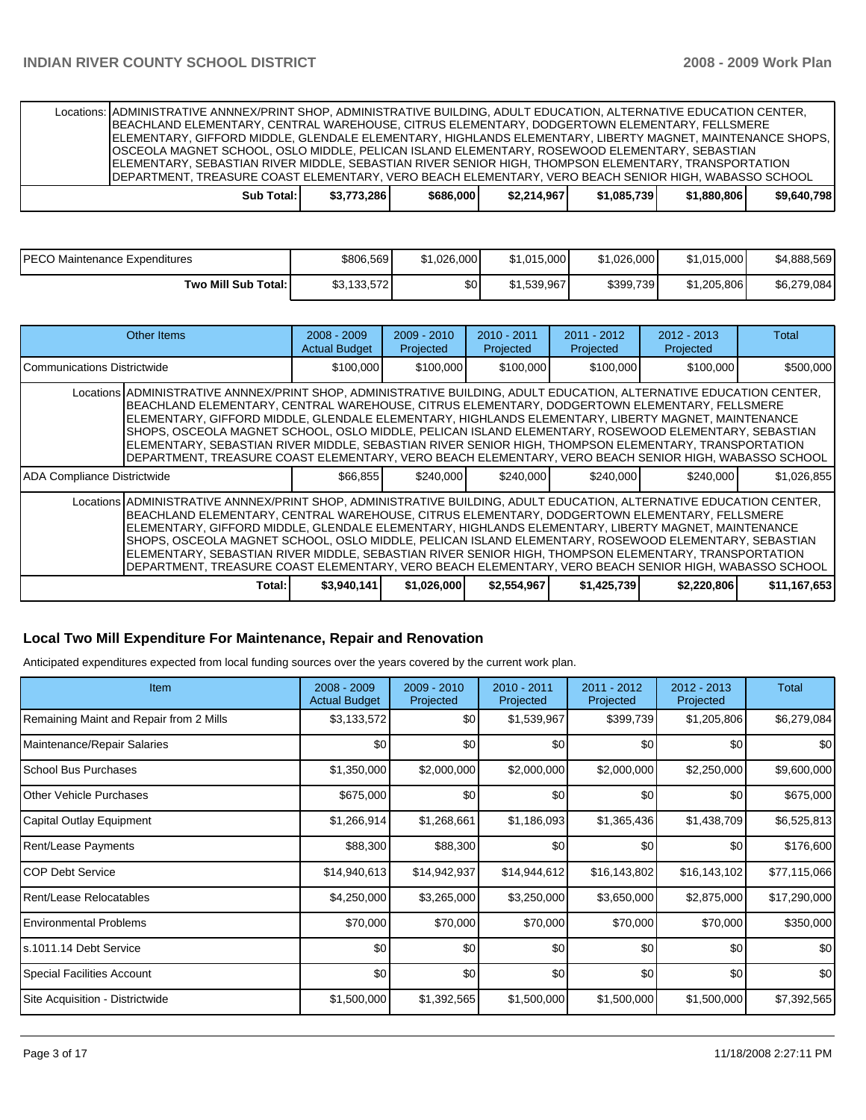Locations: ADMINISTRATIVE ANNNEX/PRINT SHOP, ADMINISTRATIVE BUILDING, ADULT EDUCATION, ALTERNATIVE EDUCATION CENTER, BEACHLAND ELEMENTARY, CENTRAL WAREHOUSE, CITRUS ELEMENTARY, DODGERTOWN ELEMENTARY, FELLSMERE ELEMENTARY, GIFFORD MIDDLE, GLENDALE ELEMENTARY, HIGHLANDS ELEMENTARY, LIBERTY MAGNET, MAINTENANCE SHOPS, OSCEOLA MAGNET SCHOOL, OSLO MIDDLE, PELICAN ISLAND ELEMENTARY, ROSEWOOD ELEMENTARY, SEBASTIAN ELEMENTARY, SEBASTIAN RIVER MIDDLE, SEBASTIAN RIVER SENIOR HIGH, THOMPSON ELEMENTARY, TRANSPORTATION DEPARTMENT, TREASURE COAST ELEMENTARY, VERO BEACH ELEMENTARY, VERO BEACH SENIOR HIGH, WABASSO SCHOOL

| Sub Total: | \$3,773,286 | \$686,000 | \$2,214,967 | \$1.085.739 | \$1,880,806 | \$9,640,798 |
|------------|-------------|-----------|-------------|-------------|-------------|-------------|
|            |             |           |             |             |             |             |

| PECO Maintenance Expenditures | \$806.569   | \$1.026.000 | \$1.015.000 | \$1.026.000 | \$1.015.000 | \$4,888,569 |
|-------------------------------|-------------|-------------|-------------|-------------|-------------|-------------|
| Two Mill Sub Total: I         | \$3,133,572 | \$0         | \$1.539.967 | \$399,739   | \$1,205,806 | \$6,279,084 |

| Other Items                                                                                                                                                                                                                                                                                                                                                                                                                                                                                                                                                                                                                                       | $2008 - 2009$<br><b>Actual Budget</b>                                                                                                                                                                                                                                                                                                                                                                                                                                                                                                                                                                                                             | $2009 - 2010$<br>Projected | $2010 - 2011$<br>Projected | $2011 - 2012$<br>Projected | $2012 - 2013$<br>Projected | Total        |  |  |
|---------------------------------------------------------------------------------------------------------------------------------------------------------------------------------------------------------------------------------------------------------------------------------------------------------------------------------------------------------------------------------------------------------------------------------------------------------------------------------------------------------------------------------------------------------------------------------------------------------------------------------------------------|---------------------------------------------------------------------------------------------------------------------------------------------------------------------------------------------------------------------------------------------------------------------------------------------------------------------------------------------------------------------------------------------------------------------------------------------------------------------------------------------------------------------------------------------------------------------------------------------------------------------------------------------------|----------------------------|----------------------------|----------------------------|----------------------------|--------------|--|--|
| <b>ICommunications Districtwide</b>                                                                                                                                                                                                                                                                                                                                                                                                                                                                                                                                                                                                               | \$100,000                                                                                                                                                                                                                                                                                                                                                                                                                                                                                                                                                                                                                                         | \$100,000                  | \$100,000                  | \$100,000                  | \$100,000                  | \$500,000    |  |  |
|                                                                                                                                                                                                                                                                                                                                                                                                                                                                                                                                                                                                                                                   | Locations ADMINISTRATIVE ANNNEX/PRINT SHOP, ADMINISTRATIVE BUILDING, ADULT EDUCATION, ALTERNATIVE EDUCATION CENTER,<br>BEACHLAND ELEMENTARY, CENTRAL WAREHOUSE, CITRUS ELEMENTARY, DODGERTOWN ELEMENTARY, FELLSMERE<br>ELEMENTARY, GIFFORD MIDDLE, GLENDALE ELEMENTARY, HIGHLANDS ELEMENTARY, LIBERTY MAGNET, MAINTENANCE<br>SHOPS, OSCEOLA MAGNET SCHOOL, OSLO MIDDLE, PELICAN ISLAND ELEMENTARY, ROSEWOOD ELEMENTARY, SEBASTIAN<br>ELEMENTARY, SEBASTIAN RIVER MIDDLE, SEBASTIAN RIVER SENIOR HIGH, THOMPSON ELEMENTARY, TRANSPORTATION<br>DEPARTMENT, TREASURE COAST ELEMENTARY, VERO BEACH ELEMENTARY, VERO BEACH SENIOR HIGH, WABASSO SCHOOL |                            |                            |                            |                            |              |  |  |
| ADA Compliance Districtwide                                                                                                                                                                                                                                                                                                                                                                                                                                                                                                                                                                                                                       | \$66,855                                                                                                                                                                                                                                                                                                                                                                                                                                                                                                                                                                                                                                          | \$240,000                  | \$240,000                  | \$240,000                  | \$240,000                  | \$1,026,855  |  |  |
| Locations ADMINISTRATIVE ANNNEX/PRINT SHOP, ADMINISTRATIVE BUILDING, ADULT EDUCATION, ALTERNATIVE EDUCATION CENTER,<br>BEACHLAND ELEMENTARY, CENTRAL WAREHOUSE, CITRUS ELEMENTARY, DODGERTOWN ELEMENTARY, FELLSMERE<br>ELEMENTARY, GIFFORD MIDDLE, GLENDALE ELEMENTARY, HIGHLANDS ELEMENTARY, LIBERTY MAGNET, MAINTENANCE<br>SHOPS, OSCEOLA MAGNET SCHOOL, OSLO MIDDLE, PELICAN ISLAND ELEMENTARY, ROSEWOOD ELEMENTARY, SEBASTIAN<br>ELEMENTARY, SEBASTIAN RIVER MIDDLE, SEBASTIAN RIVER SENIOR HIGH, THOMPSON ELEMENTARY, TRANSPORTATION<br>DEPARTMENT, TREASURE COAST ELEMENTARY, VERO BEACH ELEMENTARY, VERO BEACH SENIOR HIGH, WABASSO SCHOOL |                                                                                                                                                                                                                                                                                                                                                                                                                                                                                                                                                                                                                                                   |                            |                            |                            |                            |              |  |  |
| Total:                                                                                                                                                                                                                                                                                                                                                                                                                                                                                                                                                                                                                                            | \$3,940,141                                                                                                                                                                                                                                                                                                                                                                                                                                                                                                                                                                                                                                       | \$1,026,000                | \$2,554,967                | \$1,425,739                | \$2,220,806                | \$11,167,653 |  |  |

#### **Local Two Mill Expenditure For Maintenance, Repair and Renovation**

Anticipated expenditures expected from local funding sources over the years covered by the current work plan.

| <b>Item</b>                             | $2008 - 2009$<br><b>Actual Budget</b> | 2009 - 2010<br>Projected | $2010 - 2011$<br>Projected | 2011 - 2012<br>Projected | $2012 - 2013$<br>Projected | Total        |
|-----------------------------------------|---------------------------------------|--------------------------|----------------------------|--------------------------|----------------------------|--------------|
| Remaining Maint and Repair from 2 Mills | \$3,133,572                           | \$0                      | \$1,539,967                | \$399,739                | \$1,205,806                | \$6,279,084  |
| Maintenance/Repair Salaries             | \$0                                   | \$0                      | \$0                        | \$0                      | \$0                        | \$0          |
| School Bus Purchases                    | \$1,350,000                           | \$2,000,000              | \$2,000,000                | \$2,000,000              | \$2,250,000                | \$9,600,000  |
| <b>IOther Vehicle Purchases</b>         | \$675,000                             | \$0                      | \$0                        | \$0                      | \$0                        | \$675,000    |
| Capital Outlay Equipment                | \$1,266,914                           | \$1,268,661              | \$1,186,093                | \$1,365,436              | \$1,438,709                | \$6,525,813  |
| Rent/Lease Payments                     | \$88,300                              | \$88,300                 | \$0                        | \$0                      | \$0                        | \$176,600    |
| ICOP Debt Service                       | \$14,940,613                          | \$14,942,937             | \$14,944,612               | \$16,143,802             | \$16,143,102               | \$77,115,066 |
| Rent/Lease Relocatables                 | \$4,250,000                           | \$3,265,000              | \$3,250,000                | \$3,650,000              | \$2,875,000                | \$17,290,000 |
| Environmental Problems                  | \$70,000                              | \$70,000                 | \$70,000                   | \$70,000                 | \$70,000                   | \$350,000    |
| ls.1011.14 Debt Service                 | \$0                                   | \$0                      | \$0                        | \$0                      | \$0                        | \$0          |
| Special Facilities Account              | \$0                                   | \$0                      | \$0                        | \$0                      | \$0                        | \$0          |
| Site Acquisition - Districtwide         | \$1,500,000                           | \$1,392,565              | \$1,500,000                | \$1,500,000              | \$1,500,000                | \$7,392,565  |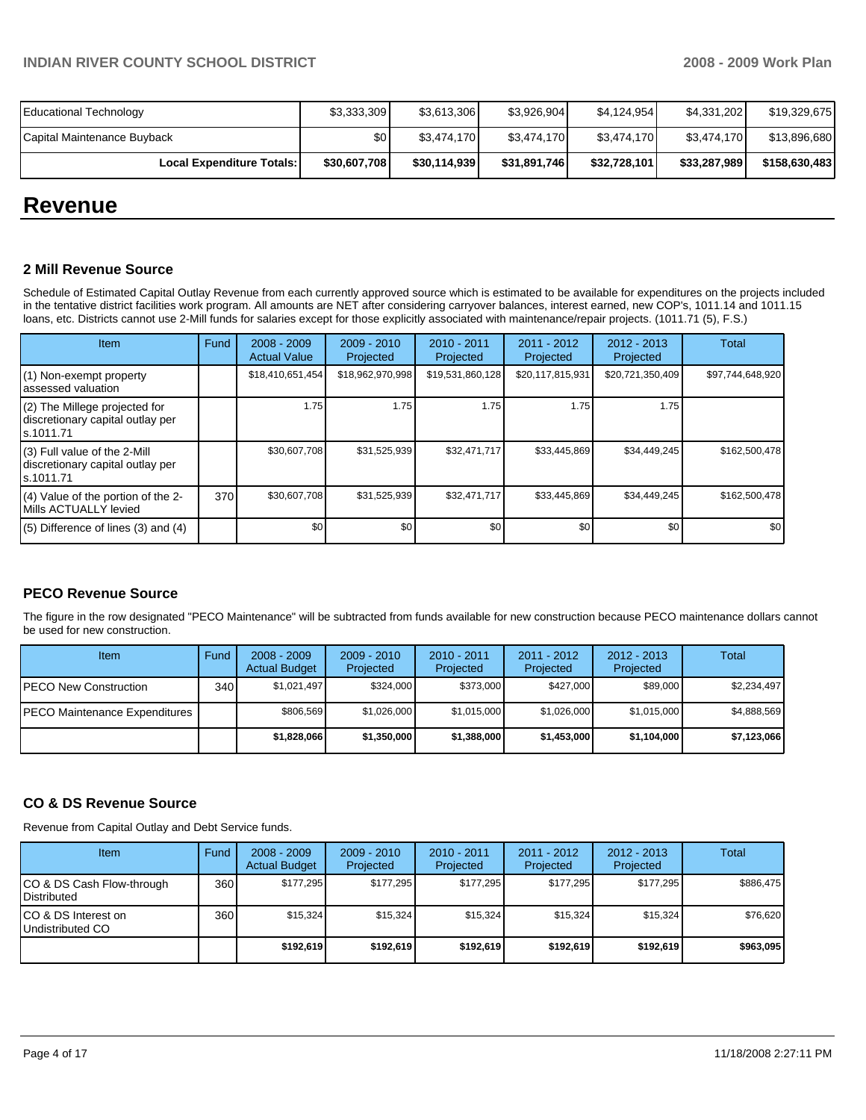| <b>Educational Technology</b>    | \$3,333,309  | \$3,613,306  | \$3,926,904  | \$4,124,954  | \$4,331,202  | \$19,329,675  |
|----------------------------------|--------------|--------------|--------------|--------------|--------------|---------------|
| Capital Maintenance Buyback      | \$0          | \$3,474,170  | \$3,474,170  | \$3,474,170  | \$3.474.170  | \$13,896,680  |
| <b>Local Expenditure Totals:</b> | \$30,607,708 | \$30,114,939 | \$31,891,746 | \$32,728,101 | \$33,287,989 | \$158,630,483 |

# **Revenue**

#### **2 Mill Revenue Source**

Schedule of Estimated Capital Outlay Revenue from each currently approved source which is estimated to be available for expenditures on the projects included in the tentative district facilities work program. All amounts are NET after considering carryover balances, interest earned, new COP's, 1011.14 and 1011.15 loans, etc. Districts cannot use 2-Mill funds for salaries except for those explicitly associated with maintenance/repair projects. (1011.71 (5), F.S.)

| Item                                                                              | Fund | $2008 - 2009$<br><b>Actual Value</b> | $2009 - 2010$<br>Projected | $2010 - 2011$<br>Projected | $2011 - 2012$<br>Projected | $2012 - 2013$<br>Projected | Total            |
|-----------------------------------------------------------------------------------|------|--------------------------------------|----------------------------|----------------------------|----------------------------|----------------------------|------------------|
| (1) Non-exempt property<br>assessed valuation                                     |      | \$18,410,651,454                     | \$18,962,970,998           | \$19,531,860,128           | \$20,117,815,931           | \$20,721,350,409           | \$97,744,648,920 |
| $(2)$ The Millege projected for<br>discretionary capital outlay per<br>ls.1011.71 |      | 1.75                                 | 1.75                       | 1.75                       | 1.75                       | 1.75                       |                  |
| $(3)$ Full value of the 2-Mill<br>discretionary capital outlay per<br>ls.1011.71  |      | \$30,607,708                         | \$31,525,939               | \$32,471,717               | \$33,445,869               | \$34,449,245               | \$162,500,478    |
| $(4)$ Value of the portion of the 2-<br>Mills ACTUALLY levied                     | 370  | \$30,607,708                         | \$31,525,939               | \$32,471,717               | \$33,445,869               | \$34,449,245               | \$162,500,478    |
| $(5)$ Difference of lines $(3)$ and $(4)$                                         |      | \$0                                  | \$0                        | \$0                        | \$0                        | \$0                        | \$0              |

### **PECO Revenue Source**

The figure in the row designated "PECO Maintenance" will be subtracted from funds available for new construction because PECO maintenance dollars cannot be used for new construction.

| Item                                 | Fund             | $2008 - 2009$<br><b>Actual Budget</b> | $2009 - 2010$<br>Projected | $2010 - 2011$<br>Projected | $2011 - 2012$<br>Projected | $2012 - 2013$<br>Projected | Total       |
|--------------------------------------|------------------|---------------------------------------|----------------------------|----------------------------|----------------------------|----------------------------|-------------|
| IPECO New Construction               | 340 <sub>l</sub> | \$1.021.497                           | \$324,000                  | \$373,000                  | \$427,000                  | \$89,000                   | \$2,234,497 |
| <b>PECO Maintenance Expenditures</b> |                  | \$806.569                             | \$1,026,000                | \$1,015,000                | \$1,026,000                | \$1,015,000                | \$4,888,569 |
|                                      |                  | \$1,828,066                           | \$1,350,000                | \$1,388,000                | \$1,453,000                | \$1,104,000                | \$7,123,066 |

### **CO & DS Revenue Source**

Revenue from Capital Outlay and Debt Service funds.

| Item                                            | Fund | $2008 - 2009$<br><b>Actual Budget</b> | $2009 - 2010$<br>Projected | $2010 - 2011$<br>Projected | $2011 - 2012$<br>Projected | $2012 - 2013$<br>Projected | Total     |
|-------------------------------------------------|------|---------------------------------------|----------------------------|----------------------------|----------------------------|----------------------------|-----------|
| CO & DS Cash Flow-through<br><b>Distributed</b> | 360  | \$177.295                             | \$177.295                  | \$177.295                  | \$177.295                  | \$177.295                  | \$886.475 |
| CO & DS Interest on<br>Undistributed CO         | 360  | \$15.324                              | \$15.324                   | \$15.324                   | \$15.324                   | \$15.324                   | \$76,620  |
|                                                 |      | \$192,619                             | \$192.619                  | \$192.619                  | \$192.619                  | \$192.619                  | \$963,095 |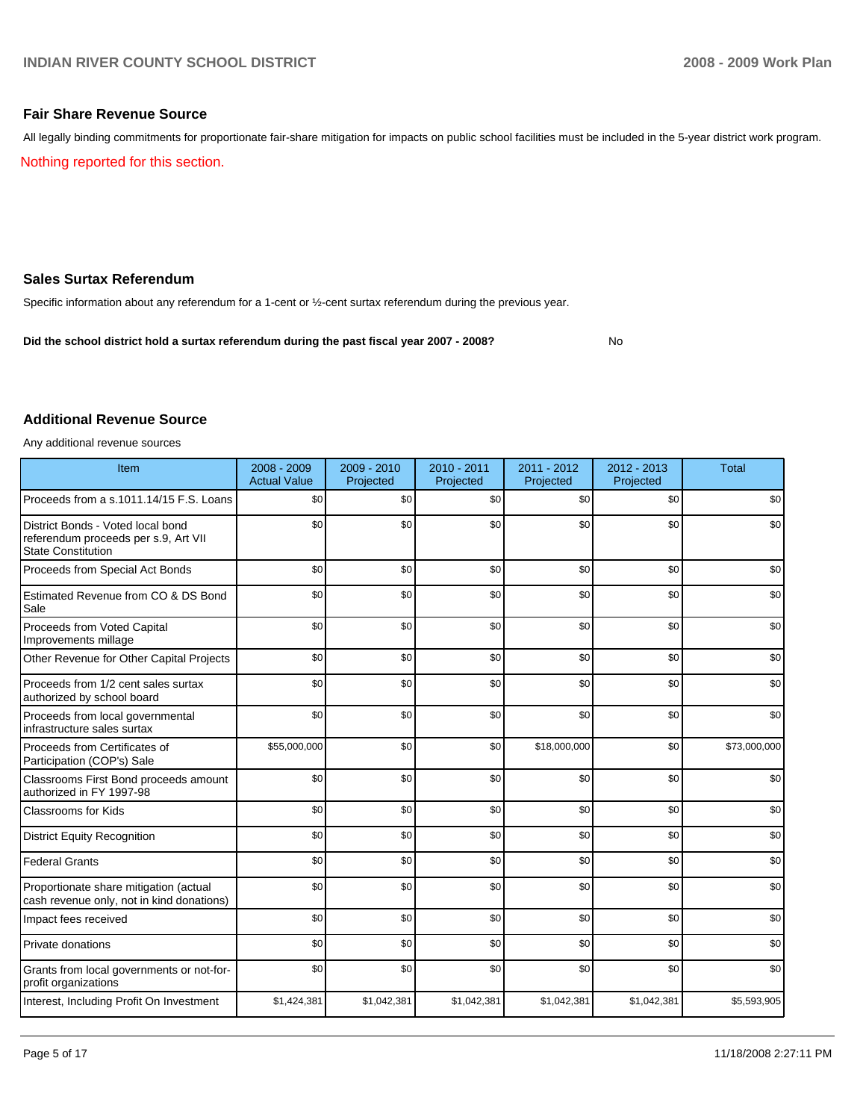#### **Fair Share Revenue Source**

All legally binding commitments for proportionate fair-share mitigation for impacts on public school facilities must be included in the 5-year district work program.

Nothing reported for this section.

#### **Sales Surtax Referendum**

Specific information about any referendum for a 1-cent or ½-cent surtax referendum during the previous year.

**Did the school district hold a surtax referendum during the past fiscal year 2007 - 2008?** No

#### **Additional Revenue Source**

Any additional revenue sources

| Item                                                                                                   | 2008 - 2009<br><b>Actual Value</b> | $2009 - 2010$<br>Projected | $2010 - 2011$<br>Projected | 2011 - 2012<br>Projected | 2012 - 2013<br>Projected | <b>Total</b> |
|--------------------------------------------------------------------------------------------------------|------------------------------------|----------------------------|----------------------------|--------------------------|--------------------------|--------------|
| Proceeds from a s.1011.14/15 F.S. Loans                                                                | \$0                                | \$0                        | \$0                        | \$0                      | \$0                      | \$0          |
| District Bonds - Voted local bond<br>referendum proceeds per s.9, Art VII<br><b>State Constitution</b> | \$0                                | \$0                        | \$0                        | \$0                      | \$0                      | \$0          |
| Proceeds from Special Act Bonds                                                                        | \$0                                | \$0                        | \$0                        | \$0                      | \$0                      | \$0          |
| Estimated Revenue from CO & DS Bond<br>Sale                                                            | \$0                                | \$0                        | \$0                        | \$0                      | \$0                      | \$0          |
| Proceeds from Voted Capital<br>Improvements millage                                                    | \$0                                | \$0                        | \$0                        | \$0                      | \$0                      | \$0          |
| Other Revenue for Other Capital Projects                                                               | \$0                                | \$0                        | \$0                        | \$0                      | \$0                      | \$0          |
| Proceeds from 1/2 cent sales surtax<br>authorized by school board                                      | \$0                                | \$0                        | \$0                        | \$0                      | \$0                      | \$0          |
| Proceeds from local governmental<br>infrastructure sales surtax                                        | \$0                                | \$0                        | \$0                        | \$0                      | \$0                      | \$0          |
| Proceeds from Certificates of<br>Participation (COP's) Sale                                            | \$55,000,000                       | \$0                        | \$0                        | \$18,000,000             | \$0                      | \$73,000,000 |
| Classrooms First Bond proceeds amount<br>authorized in FY 1997-98                                      | \$0                                | \$0                        | \$0                        | \$0                      | \$0                      | \$0          |
| <b>Classrooms for Kids</b>                                                                             | \$0                                | \$0                        | \$0                        | \$0                      | \$0                      | \$0          |
| <b>District Equity Recognition</b>                                                                     | \$0                                | \$0                        | \$0                        | \$0                      | \$0                      | \$0          |
| <b>Federal Grants</b>                                                                                  | \$0                                | \$0                        | \$0                        | \$0                      | \$0                      | \$0          |
| Proportionate share mitigation (actual<br>cash revenue only, not in kind donations)                    | \$0                                | \$0                        | \$0                        | \$0                      | \$0                      | \$0          |
| Impact fees received                                                                                   | \$0                                | \$0                        | \$0                        | \$0                      | \$0                      | \$0          |
| Private donations                                                                                      | \$0                                | \$0                        | \$0                        | \$0                      | \$0                      | \$0          |
| Grants from local governments or not-for-<br>profit organizations                                      | \$0                                | \$0                        | \$0                        | \$0                      | \$0                      | \$0          |
| Interest, Including Profit On Investment                                                               | \$1,424,381                        | \$1,042,381                | \$1,042,381                | \$1,042,381              | \$1,042,381              | \$5,593,905  |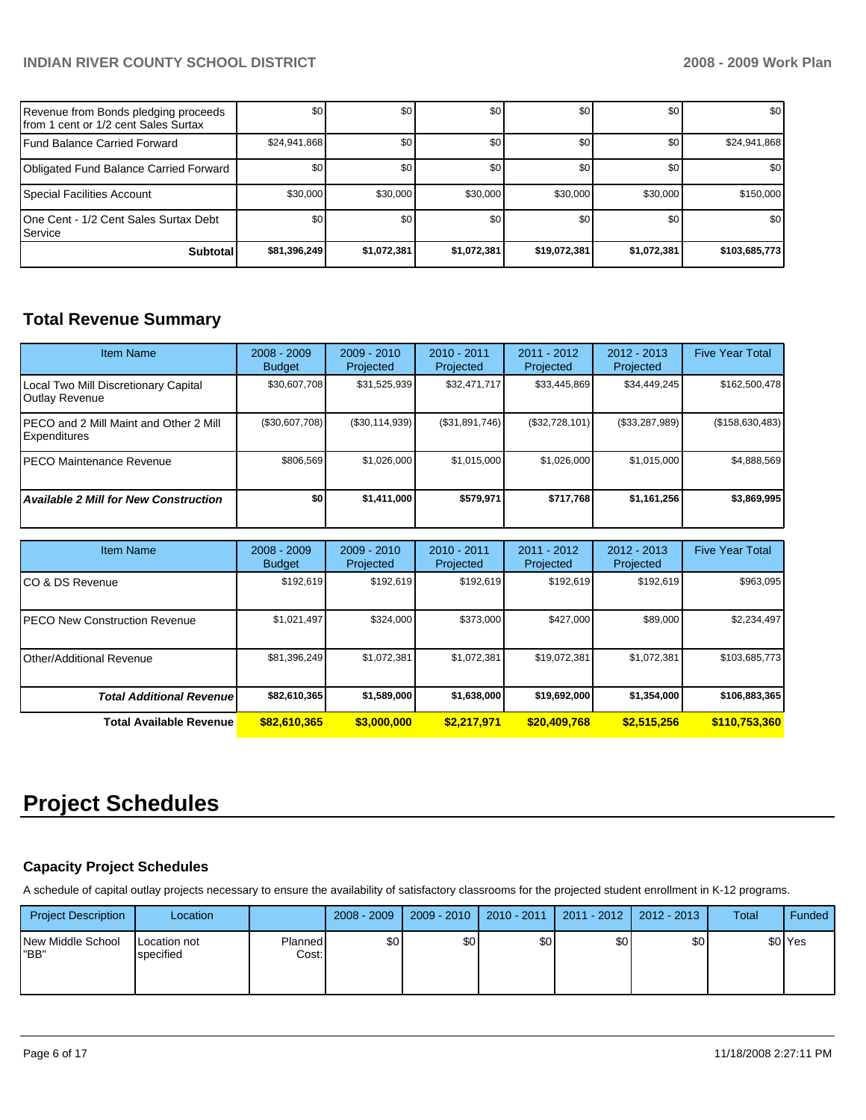| Revenue from Bonds pledging proceeds<br>Ifrom 1 cent or 1/2 cent Sales Surtax | \$0              | \$0         | \$0         | \$0              | \$0         | \$0           |
|-------------------------------------------------------------------------------|------------------|-------------|-------------|------------------|-------------|---------------|
| <b>IFund Balance Carried Forward</b>                                          | \$24,941,868     | \$0         | \$0         | \$0              | \$0         | \$24,941,868  |
| Obligated Fund Balance Carried Forward                                        | \$0 <sub>1</sub> | \$0         | \$0         | \$0              | \$0         | \$0           |
| Special Facilities Account                                                    | \$30,000         | \$30,000    | \$30,000    | \$30,000         | \$30,000    | \$150,000     |
| 10ne Cent - 1/2 Cent Sales Surtax Debt<br>l Service i                         | \$0 <sub>1</sub> | \$0         | \$0         | \$0 <sub>1</sub> | \$0         | \$0           |
| <b>Subtotal</b>                                                               | \$81,396,249     | \$1,072,381 | \$1,072,381 | \$19,072,381     | \$1,072,381 | \$103,685,773 |

# **Total Revenue Summary**

| Item Name                                              | $2008 - 2009$<br><b>Budget</b> | $2009 - 2010$<br>Projected | $2010 - 2011$<br>Projected | $2011 - 2012$<br>Projected | $2012 - 2013$<br><b>Projected</b> | <b>Five Year Total</b> |
|--------------------------------------------------------|--------------------------------|----------------------------|----------------------------|----------------------------|-----------------------------------|------------------------|
| Local Two Mill Discretionary Capital<br>Outlay Revenue | \$30,607,708                   | \$31,525,939               | \$32,471,717               | \$33,445,869               | \$34,449,245                      | \$162,500,478          |
| PECO and 2 Mill Maint and Other 2 Mill<br>Expenditures | (\$30,607,708)                 | (\$30,114,939)             | (\$31,891,746)             | (S32, 728, 101)            | (\$33,287,989)                    | (\$158,630,483)        |
| IPECO Maintenance Revenue                              | \$806.569                      | \$1,026,000                | \$1.015.000                | \$1,026,000                | \$1.015.000                       | \$4,888,569            |
| <b>Available 2 Mill for New Construction</b>           | \$0                            | \$1,411,000                | \$579.971                  | \$717,768                  | \$1,161,256                       | \$3,869,995            |

| <b>Item Name</b>                      | $2008 - 2009$<br><b>Budget</b> | $2009 - 2010$<br>Projected | 2010 - 2011<br>Projected | 2011 - 2012<br>Projected | $2012 - 2013$<br>Projected | <b>Five Year Total</b> |
|---------------------------------------|--------------------------------|----------------------------|--------------------------|--------------------------|----------------------------|------------------------|
| ICO & DS Revenue                      | \$192,619                      | \$192,619                  | \$192,619                | \$192,619                | \$192,619                  | \$963,095              |
| <b>IPECO New Construction Revenue</b> | \$1,021,497                    | \$324.000                  | \$373,000                | \$427,000                | \$89,000                   | \$2,234,497            |
| Other/Additional Revenue              | \$81,396,249                   | \$1,072,381                | \$1.072.381              | \$19.072.381             | \$1.072.381                | \$103,685,773          |
| <b>Total Additional Revenuel</b>      | \$82,610,365                   | \$1,589,000                | \$1,638,000              | \$19,692,000             | \$1,354,000                | \$106,883,365          |
| <b>Total Available Revenue</b>        | \$82,610,365                   | \$3,000,000                | \$2.217.971              | \$20,409,768             | \$2,515,256                | \$110,753,360          |

# **Project Schedules**

### **Capacity Project Schedules**

A schedule of capital outlay projects necessary to ensure the availability of satisfactory classrooms for the projected student enrollment in K-12 programs.

| <b>Project Description</b> | Location                  |                  | $2008 - 2009$ | $2009 - 2010$    | $2010 - 2011$ | $2011 - 2012$ | 2012 - 2013 | Total | Funded  |
|----------------------------|---------------------------|------------------|---------------|------------------|---------------|---------------|-------------|-------|---------|
| New Middle School<br>"BB"  | Location not<br>specified | Planned<br>Cost: | \$0           | \$0 <sub>1</sub> | \$0           | \$0           | \$0         |       | \$0 Yes |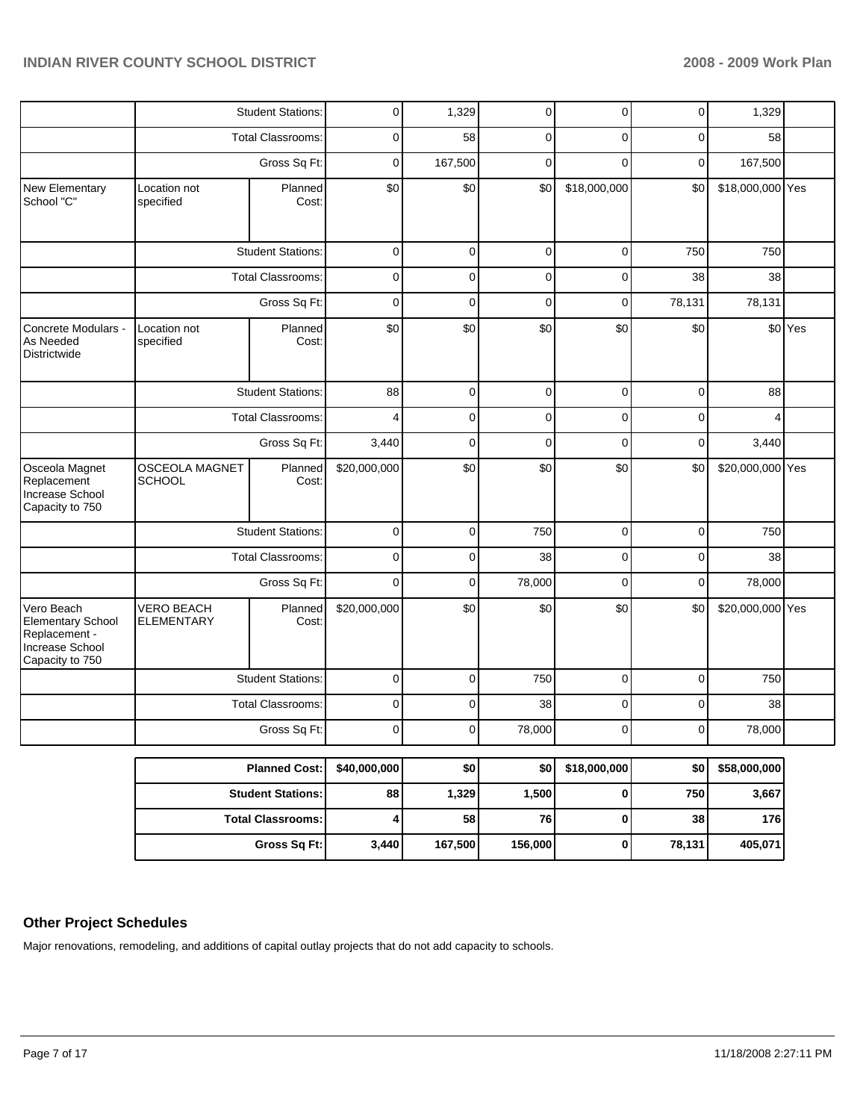|                                                                                               |                                        | <b>Student Stations:</b> | 0            | 1,329   | 0           | 0            | $\overline{0}$ | 1,329            |         |
|-----------------------------------------------------------------------------------------------|----------------------------------------|--------------------------|--------------|---------|-------------|--------------|----------------|------------------|---------|
|                                                                                               |                                        | <b>Total Classrooms:</b> | 0            | 58      | 0           | 0            | 0              | 58               |         |
|                                                                                               |                                        | Gross Sq Ft:             |              | 167,500 | $\mathbf 0$ | $\Omega$     | 0              | 167,500          |         |
| New Elementary<br>School "C"                                                                  | Location not<br>specified              | Planned<br>Cost:         | \$0          | \$0     | \$0         | \$18,000,000 | \$0            | \$18,000,000 Yes |         |
|                                                                                               |                                        | <b>Student Stations:</b> | $\mathbf 0$  | 0       | 0           | 0            | 750            | 750              |         |
|                                                                                               |                                        | <b>Total Classrooms:</b> | 0            | 0       | $\mathbf 0$ | 0            | 38             | 38               |         |
|                                                                                               |                                        | Gross Sq Ft:             | $\mathbf 0$  | 0       | $\mathbf 0$ | 0            | 78,131         | 78,131           |         |
| Concrete Modulars -<br>As Needed<br>Districtwide                                              | Location not<br>specified              | Planned<br>Cost:         | \$0          | \$0     | \$0         | \$0          | \$0            |                  | \$0 Yes |
|                                                                                               |                                        | <b>Student Stations:</b> | 88           | 0       | 0           | 0            | 0              | 88               |         |
|                                                                                               |                                        | <b>Total Classrooms:</b> | 4            | 0       | $\mathbf 0$ | 0            | $\mathbf 0$    | 4                |         |
|                                                                                               |                                        | Gross Sq Ft:             | 3,440        | 0       | $\mathbf 0$ | $\mathbf 0$  | 0              | 3,440            |         |
| Osceola Magnet<br>Replacement<br>Increase School<br>Capacity to 750                           | <b>OSCEOLA MAGNET</b><br><b>SCHOOL</b> | Planned<br>Cost:         | \$20,000,000 | \$0     | \$0         | \$0          | \$0            | \$20,000,000 Yes |         |
|                                                                                               |                                        | <b>Student Stations:</b> | 0            | 0       | 750         | 0            | 0              | 750              |         |
|                                                                                               |                                        | <b>Total Classrooms:</b> | 0            | 0       | 38          | 0            | 0              | 38               |         |
|                                                                                               |                                        | Gross Sq Ft:             | $\mathbf 0$  | 0       | 78,000      | 0            | 0              | 78,000           |         |
| Vero Beach<br><b>Elementary School</b><br>Replacement -<br>Increase School<br>Capacity to 750 | <b>VERO BEACH</b><br><b>ELEMENTARY</b> | Planned<br>Cost:         | \$20,000,000 | \$0     | \$0         | \$0          | \$0            | \$20,000,000 Yes |         |
|                                                                                               |                                        | <b>Student Stations:</b> | 0            | 0       | 750         | 0            | $\pmb{0}$      | 750              |         |
|                                                                                               |                                        | Total Classrooms:        | 0            | 0       | 38          | $\mathbf 0$  | 0              | 38               |         |
|                                                                                               |                                        | Gross Sq Ft:             | 0            | 0       | 78,000      | 0            | 0              | 78,000           |         |
|                                                                                               |                                        | <b>Planned Cost:</b>     | \$40,000,000 | \$0     | \$0         | \$18,000,000 | \$0            | \$58,000,000     |         |
|                                                                                               |                                        | <b>Student Stations:</b> | 88           | 1,329   | 1,500       | 0            | 750            | 3,667            |         |
|                                                                                               |                                        | <b>Total Classrooms:</b> | 4            | 58      | 76          | 0            | 38             | 176              |         |
|                                                                                               |                                        | Gross Sq Ft:             | 3,440        | 167,500 | 156,000     | $\pmb{0}$    | 78,131         | 405,071          |         |

# **Other Project Schedules**

Major renovations, remodeling, and additions of capital outlay projects that do not add capacity to schools.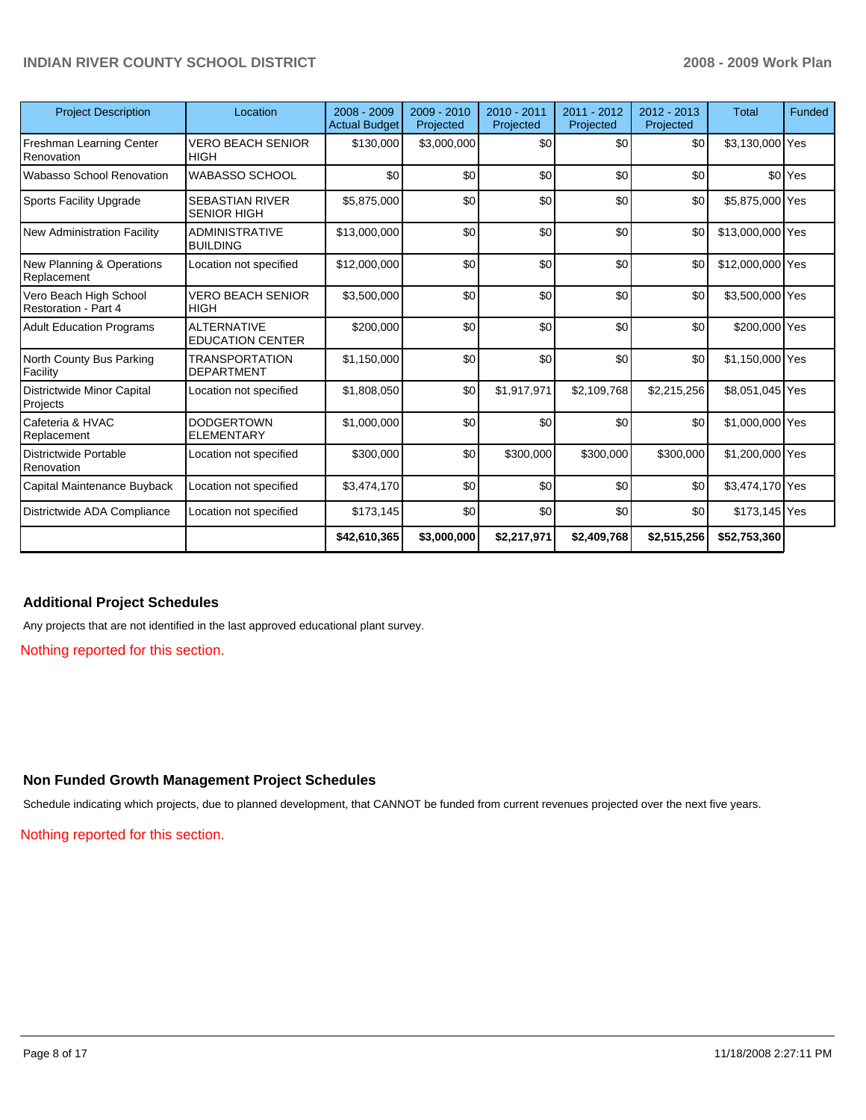| <b>Project Description</b>                            | Location                                      | $2008 - 2009$<br><b>Actual Budget</b> | $2009 - 2010$<br>Projected | $2010 - 2011$<br>Projected | 2011 - 2012<br>Projected | $2012 - 2013$<br>Projected | <b>Total</b>     | Funded             |
|-------------------------------------------------------|-----------------------------------------------|---------------------------------------|----------------------------|----------------------------|--------------------------|----------------------------|------------------|--------------------|
| Freshman Learning Center<br>Renovation                | <b>VERO BEACH SENIOR</b><br><b>HIGH</b>       | \$130,000                             | \$3,000,000                | \$0                        | \$0                      | \$0                        | \$3,130,000 Yes  |                    |
| Wabasso School Renovation                             | <b>WABASSO SCHOOL</b>                         | \$0                                   | \$0                        | \$0                        | \$0                      | \$0                        |                  | \$0 <sup>Yes</sup> |
| <b>Sports Facility Upgrade</b>                        | <b>SEBASTIAN RIVER</b><br><b>SENIOR HIGH</b>  | \$5,875,000                           | \$0                        | \$0                        | \$0                      | \$0                        | \$5,875,000 Yes  |                    |
| New Administration Facility                           | <b>ADMINISTRATIVE</b><br><b>BUILDING</b>      | \$13,000,000                          | \$0                        | \$0                        | \$0                      | \$0                        | \$13,000,000 Yes |                    |
| New Planning & Operations<br>Replacement              | Location not specified                        | \$12,000,000                          | \$0                        | \$0                        | \$0                      | \$0                        | \$12,000,000 Yes |                    |
| Vero Beach High School<br><b>Restoration - Part 4</b> | VERO BEACH SENIOR<br><b>HIGH</b>              | \$3,500,000                           | \$0                        | \$0                        | \$0                      | \$0                        | \$3,500,000 Yes  |                    |
| <b>Adult Education Programs</b>                       | <b>ALTERNATIVE</b><br><b>EDUCATION CENTER</b> | \$200,000                             | \$0                        | \$0                        | \$0                      | \$0                        | \$200,000 Yes    |                    |
| North County Bus Parking<br>Facility                  | TRANSPORTATION<br><b>DEPARTMENT</b>           | \$1,150,000                           | \$0                        | \$0                        | \$0                      | \$0                        | \$1,150,000 Yes  |                    |
| Districtwide Minor Capital<br>Projects                | Location not specified                        | \$1,808,050                           | \$0                        | \$1,917,971                | \$2,109,768              | \$2,215,256                | \$8,051,045 Yes  |                    |
| Cafeteria & HVAC<br>Replacement                       | <b>DODGERTOWN</b><br><b>ELEMENTARY</b>        | \$1,000,000                           | \$0                        | \$0                        | \$0                      | \$0                        | \$1,000,000 Yes  |                    |
| Districtwide Portable<br>Renovation                   | Location not specified                        | \$300,000                             | \$0                        | \$300,000                  | \$300,000                | \$300,000                  | \$1,200,000 Yes  |                    |
| Capital Maintenance Buyback                           | Location not specified                        | \$3,474,170                           | \$0                        | \$0                        | \$0                      | \$0                        | \$3,474,170 Yes  |                    |
| Districtwide ADA Compliance                           | Location not specified                        | \$173,145                             | \$0                        | \$0                        | \$0                      | \$0                        | \$173,145 Yes    |                    |
|                                                       |                                               | \$42,610,365                          | \$3,000,000                | \$2,217,971                | \$2,409,768              | \$2,515,256                | \$52,753,360     |                    |

### **Additional Project Schedules**

Any projects that are not identified in the last approved educational plant survey.

Nothing reported for this section.

#### **Non Funded Growth Management Project Schedules**

Schedule indicating which projects, due to planned development, that CANNOT be funded from current revenues projected over the next five years.

Nothing reported for this section.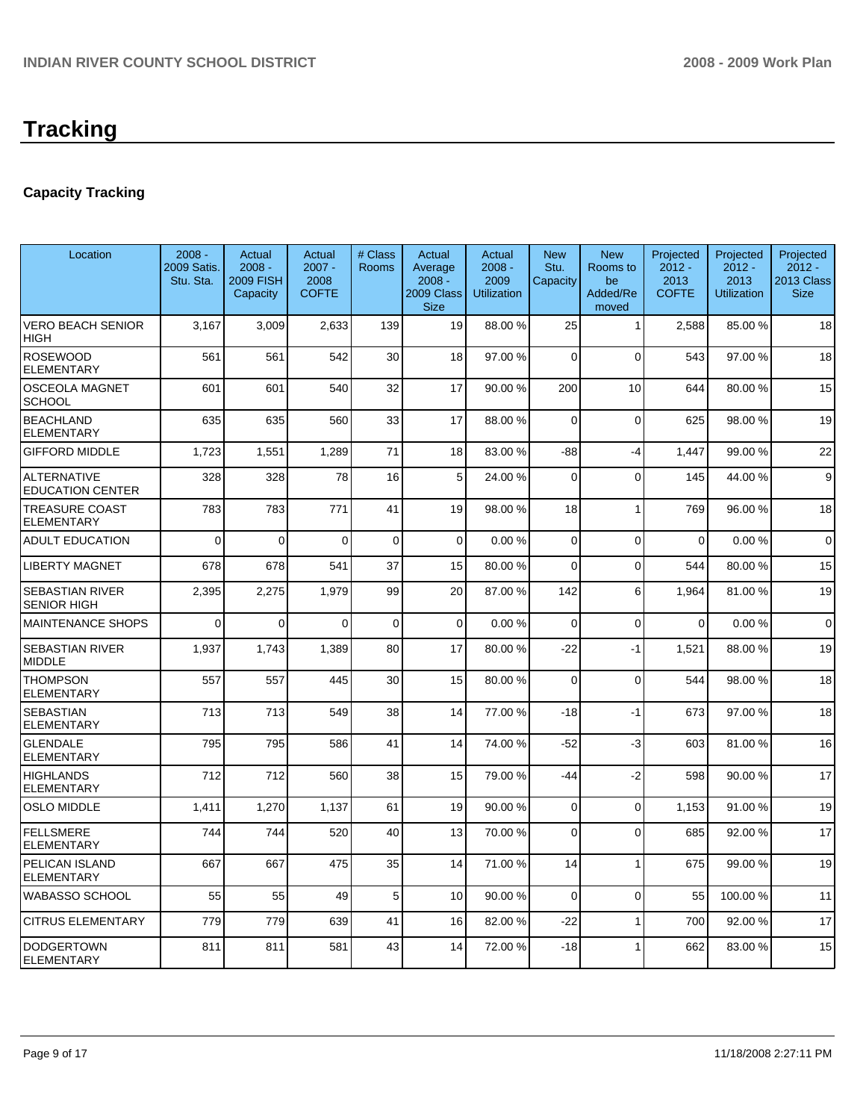# **Tracking**

# **Capacity Tracking**

| Location                                      | $2008 -$<br>2009 Satis.<br>Stu. Sta. | Actual<br>$2008 -$<br><b>2009 FISH</b><br>Capacity | Actual<br>$2007 -$<br>2008<br><b>COFTE</b> | # Class<br>Rooms | <b>Actual</b><br>Average<br>$2008 -$<br>2009 Class<br><b>Size</b> | Actual<br>$2008 -$<br>2009<br><b>Utilization</b> | <b>New</b><br>Stu.<br>Capacity | <b>New</b><br>Rooms to<br>be<br>Added/Re<br>moved | Projected<br>$2012 -$<br>2013<br><b>COFTE</b> | Projected<br>$2012 -$<br>2013<br><b>Utilization</b> | Projected<br>$2012 -$<br>2013 Class<br><b>Size</b> |
|-----------------------------------------------|--------------------------------------|----------------------------------------------------|--------------------------------------------|------------------|-------------------------------------------------------------------|--------------------------------------------------|--------------------------------|---------------------------------------------------|-----------------------------------------------|-----------------------------------------------------|----------------------------------------------------|
| VERO BEACH SENIOR<br><b>HIGH</b>              | 3,167                                | 3,009                                              | 2,633                                      | 139              | 19                                                                | 88.00 %                                          | 25                             | $\mathbf{1}$                                      | 2,588                                         | 85.00 %                                             | 18                                                 |
| <b>ROSEWOOD</b><br><b>ELEMENTARY</b>          | 561                                  | 561                                                | 542                                        | 30               | 18                                                                | 97.00 %                                          | $\Omega$                       | $\Omega$                                          | 543                                           | 97.00 %                                             | 18                                                 |
| <b>OSCEOLA MAGNET</b><br><b>SCHOOL</b>        | 601                                  | 601                                                | 540                                        | 32               | 17                                                                | 90.00 %                                          | 200                            | 10                                                | 644                                           | 80.00 %                                             | 15                                                 |
| <b>BEACHLAND</b><br>ELEMENTARY                | 635                                  | 635                                                | 560                                        | 33               | 17                                                                | 88.00 %                                          | $\Omega$                       | $\Omega$                                          | 625                                           | 98.00 %                                             | 19                                                 |
| <b>GIFFORD MIDDLE</b>                         | 1,723                                | 1,551                                              | 1,289                                      | 71               | 18                                                                | 83.00 %                                          | -88                            | -4                                                | 1,447                                         | 99.00 %                                             | 22                                                 |
| <b>ALTERNATIVE</b><br><b>EDUCATION CENTER</b> | 328                                  | 328                                                | 78                                         | 16               | 5                                                                 | 24.00 %                                          | $\mathbf 0$                    | $\mathbf 0$                                       | 145                                           | 44.00 %                                             | $\boldsymbol{9}$                                   |
| <b>TREASURE COAST</b><br><b>ELEMENTARY</b>    | 783                                  | 783                                                | 771                                        | 41               | 19                                                                | 98.00 %                                          | 18                             | $\overline{1}$                                    | 769                                           | 96.00 %                                             | 18                                                 |
| <b>ADULT EDUCATION</b>                        | 0                                    | $\Omega$                                           | $\Omega$                                   | 0                | $\Omega$                                                          | 0.00%                                            | $\Omega$                       | 0                                                 | $\mathbf 0$                                   | 0.00%                                               | $\mathbf 0$                                        |
| <b>LIBERTY MAGNET</b>                         | 678                                  | 678                                                | 541                                        | 37               | 15                                                                | 80.00%                                           | $\Omega$                       | $\Omega$                                          | 544                                           | 80.00 %                                             | 15                                                 |
| <b>SEBASTIAN RIVER</b><br><b>SENIOR HIGH</b>  | 2,395                                | 2,275                                              | 1,979                                      | 99               | 20                                                                | 87.00 %                                          | 142                            | 6                                                 | 1,964                                         | 81.00 %                                             | 19                                                 |
| <b>MAINTENANCE SHOPS</b>                      | 0                                    | $\Omega$                                           | $\Omega$                                   | 0                | $\Omega$                                                          | 0.00%                                            | $\Omega$                       | 0                                                 | 0                                             | 0.00%                                               | $\mathbf 0$                                        |
| <b>SEBASTIAN RIVER</b><br><b>MIDDLE</b>       | 1,937                                | 1,743                                              | 1,389                                      | 80               | 17                                                                | 80.00%                                           | $-22$                          | $-1$                                              | 1.521                                         | 88.00 %                                             | 19                                                 |
| <b>THOMPSON</b><br><b>ELEMENTARY</b>          | 557                                  | 557                                                | 445                                        | 30               | 15                                                                | 80.00 %                                          | $\Omega$                       | $\mathbf 0$                                       | 544                                           | 98.00 %                                             | 18                                                 |
| <b>SEBASTIAN</b><br><b>ELEMENTARY</b>         | 713                                  | 713                                                | 549                                        | 38               | 14                                                                | 77.00 %                                          | $-18$                          | $-1$                                              | 673                                           | 97.00 %                                             | 18                                                 |
| <b>GLENDALE</b><br><b>ELEMENTARY</b>          | 795                                  | 795                                                | 586                                        | 41               | 14                                                                | 74.00 %                                          | $-52$                          | -3                                                | 603                                           | 81.00 %                                             | 16                                                 |
| <b>HIGHLANDS</b><br>ELEMENTARY                | 712                                  | 712                                                | 560                                        | 38               | 15                                                                | 79.00 %                                          | -44                            | $-2$                                              | 598                                           | 90.00 %                                             | 17                                                 |
| <b>OSLO MIDDLE</b>                            | 1.411                                | 1,270                                              | 1,137                                      | 61               | 19                                                                | 90.00 %                                          | $\Omega$                       | $\mathbf 0$                                       | 1.153                                         | 91.00 %                                             | 19                                                 |
| <b>FELLSMERE</b><br><b>ELEMENTARY</b>         | 744                                  | 744                                                | 520                                        | 40               | 13                                                                | 70.00 %                                          | $\Omega$                       | $\Omega$                                          | 685                                           | 92.00 %                                             | 17                                                 |
| PELICAN ISLAND<br><b>ELEMENTARY</b>           | 667                                  | 667                                                | 475                                        | 35               | 14                                                                | 71.00 %                                          | 14                             | $\overline{1}$                                    | 675                                           | 99.00 %                                             | 19                                                 |
| WABASSO SCHOOL                                | 55                                   | 55                                                 | 49                                         | 5                | 10                                                                | 90.00 %                                          | $\mathbf 0$                    | $\mathbf 0$                                       | 55                                            | 100.00 %                                            | 11                                                 |
| <b>CITRUS ELEMENTARY</b>                      | 779                                  | 779                                                | 639                                        | 41               | 16                                                                | 82.00 %                                          | $-22$                          | $\mathbf{1}$                                      | 700                                           | 92.00 %                                             | 17                                                 |
| <b>DODGERTOWN</b><br><b>ELEMENTARY</b>        | 811                                  | 811                                                | 581                                        | 43               | 14                                                                | 72.00 %                                          | $-18$                          | 1                                                 | 662                                           | 83.00 %                                             | 15                                                 |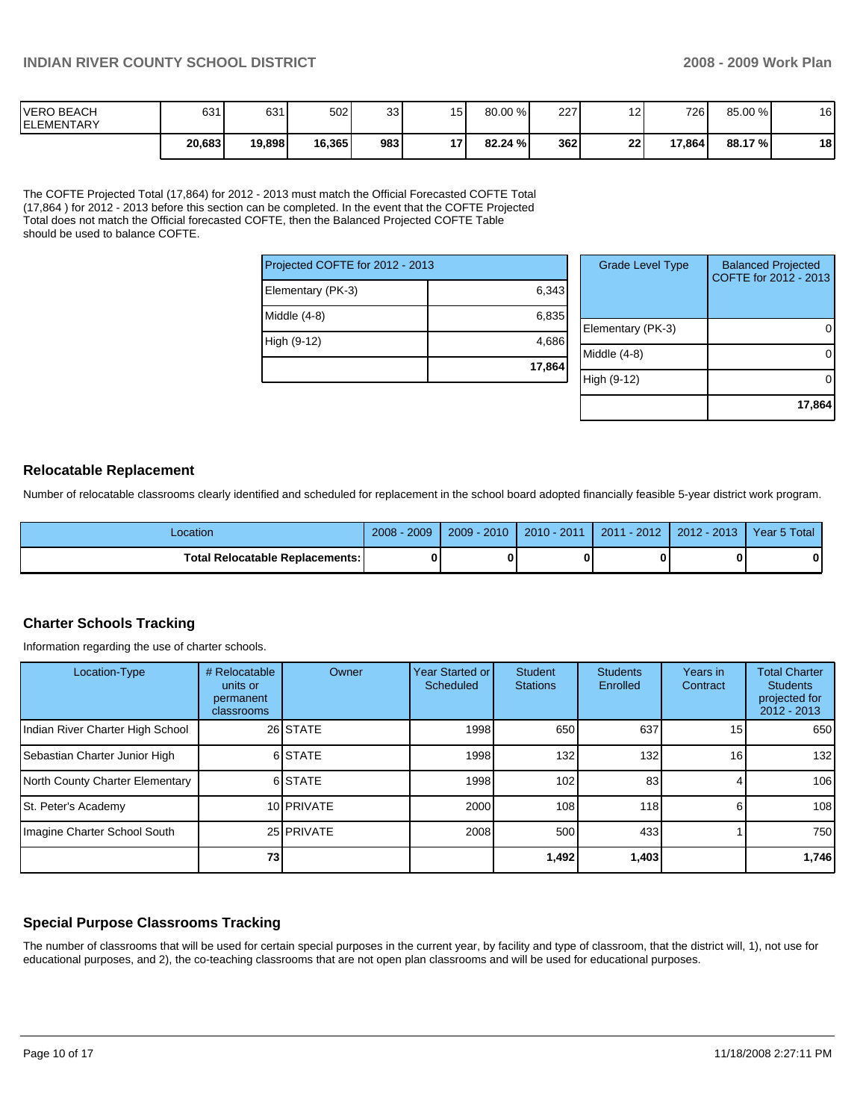| <b>IVERO BEACH</b><br><b>IELEMENTARY</b> | 631    | 631    | 502    | 33 <sub>1</sub> | 15   | 80.00 % | 227 | $\overline{ }$ | 726    | 85.00 % | 16 |
|------------------------------------------|--------|--------|--------|-----------------|------|---------|-----|----------------|--------|---------|----|
|                                          | 20,683 | 19,898 | 16,365 | 983             | 17 I | 82.24%  | 362 | 22             | 17,864 | 88.17 % | 18 |

The COFTE Projected Total (17,864) for 2012 - 2013 must match the Official Forecasted COFTE Total (17,864 ) for 2012 - 2013 before this section can be completed. In the event that the COFTE Projected Total does not match the Official forecasted COFTE, then the Balanced Projected COFTE Table should be used to balance COFTE.

| Projected COFTE for 2012 - 2013 |        | G    |
|---------------------------------|--------|------|
| Elementary (PK-3)               | 6,343  |      |
| Middle (4-8)                    | 6,835  | Elem |
| High (9-12)                     | 4,686  | Midd |
|                                 | 17,864 |      |

| <b>Grade Level Type</b> | <b>Balanced Projected</b><br>COFTE for 2012 - 2013 |
|-------------------------|----------------------------------------------------|
| Elementary (PK-3)       |                                                    |
| Middle (4-8)            |                                                    |
| High (9-12)             |                                                    |
|                         | 17,864                                             |

#### **Relocatable Replacement**

Number of relocatable classrooms clearly identified and scheduled for replacement in the school board adopted financially feasible 5-year district work program.

| _ocation                               | 2009<br>$2008 -$ | $2009 - 2010$ | 2010 - 2011 | $2011 - 2012$ | 2012 - 2013 | Year 5 Total |
|----------------------------------------|------------------|---------------|-------------|---------------|-------------|--------------|
| <b>Total Relocatable Replacements:</b> |                  |               | 0           |               |             |              |

### **Charter Schools Tracking**

Information regarding the use of charter schools.

| Location-Type                    | # Relocatable<br>units or<br>permanent<br>classrooms | Owner      | Year Started or<br>Scheduled | <b>Student</b><br><b>Stations</b> | <b>Students</b><br>Enrolled | Years in<br>Contract | <b>Total Charter</b><br><b>Students</b><br>projected for<br>$2012 - 2013$ |
|----------------------------------|------------------------------------------------------|------------|------------------------------|-----------------------------------|-----------------------------|----------------------|---------------------------------------------------------------------------|
| Indian River Charter High School |                                                      | 26 STATE   | 1998                         | 650                               | 637                         | 151                  | 650                                                                       |
| Sebastian Charter Junior High    |                                                      | 6 STATE    | 1998                         | 132                               | 132                         | 16                   | 132                                                                       |
| North County Charter Elementary  |                                                      | 6 STATE    | 1998                         | 102                               | 83                          |                      | 106                                                                       |
| <b>St. Peter's Academy</b>       |                                                      | 10 PRIVATE | 2000                         | 108                               | 118                         |                      | 108                                                                       |
| Imagine Charter School South     |                                                      | 25 PRIVATE | 2008                         | 500                               | 433                         |                      | 750                                                                       |
|                                  | 73                                                   |            |                              | 1,492                             | 1,403                       |                      | 1,746                                                                     |

### **Special Purpose Classrooms Tracking**

The number of classrooms that will be used for certain special purposes in the current year, by facility and type of classroom, that the district will, 1), not use for educational purposes, and 2), the co-teaching classrooms that are not open plan classrooms and will be used for educational purposes.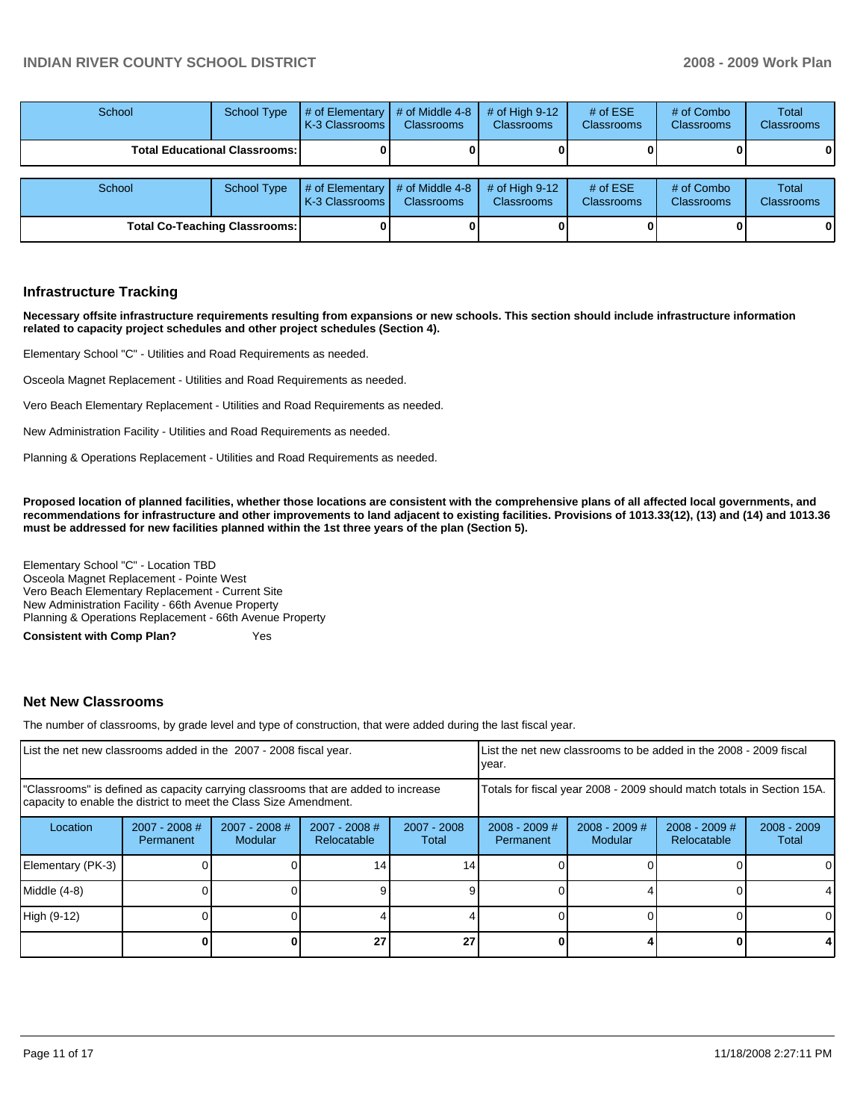| School                               | <b>School Type</b> | # of Elementary  <br>K-3 Classrooms I | # of Middle 4-8<br><b>Classrooms</b> | # of High $9-12$<br><b>Classrooms</b> | # of $ESE$<br><b>Classrooms</b> | # of Combo<br><b>Classrooms</b> | Total<br><b>Classrooms</b> |
|--------------------------------------|--------------------|---------------------------------------|--------------------------------------|---------------------------------------|---------------------------------|---------------------------------|----------------------------|
| <b>Total Educational Classrooms:</b> |                    |                                       |                                      |                                       |                                 |                                 | 01                         |
| School                               | School Type        | # of Elementary<br>l K-3 Classrooms I | # of Middle 4-8<br><b>Classrooms</b> | # of High $9-12$<br><b>Classrooms</b> | # of $ESE$<br><b>Classrooms</b> | # of Combo<br>Classrooms        | Total<br><b>Classrooms</b> |
| <b>Total Co-Teaching Classrooms:</b> |                    |                                       |                                      |                                       |                                 |                                 | 01                         |

#### **Infrastructure Tracking**

**Necessary offsite infrastructure requirements resulting from expansions or new schools. This section should include infrastructure information related to capacity project schedules and other project schedules (Section 4).** 

Elementary School "C" - Utilities and Road Requirements as needed.

Osceola Magnet Replacement - Utilities and Road Requirements as needed.

Vero Beach Elementary Replacement - Utilities and Road Requirements as needed.

New Administration Facility - Utilities and Road Requirements as needed.

Planning & Operations Replacement - Utilities and Road Requirements as needed.

**Proposed location of planned facilities, whether those locations are consistent with the comprehensive plans of all affected local governments, and recommendations for infrastructure and other improvements to land adjacent to existing facilities. Provisions of 1013.33(12), (13) and (14) and 1013.36 must be addressed for new facilities planned within the 1st three years of the plan (Section 5).** 

Elementary School "C" - Location TBD�� Osceola Magnet Replacement - Pointe West Vero Beach Elementary Replacement - Current Site New Administration Facility - 66th Avenue Property Planning & Operations Replacement - 66th Avenue Property

**Consistent with Comp Plan?** Yes

#### **Net New Classrooms**

The number of classrooms, by grade level and type of construction, that were added during the last fiscal year.

| List the net new classrooms added in the 2007 - 2008 fiscal year.                                                                                       |                              |                            |                                | List the net new classrooms to be added in the 2008 - 2009 fiscal<br>year. |                              |                            |                                |                        |
|---------------------------------------------------------------------------------------------------------------------------------------------------------|------------------------------|----------------------------|--------------------------------|----------------------------------------------------------------------------|------------------------------|----------------------------|--------------------------------|------------------------|
| "Classrooms" is defined as capacity carrying classrooms that are added to increase<br>capacity to enable the district to meet the Class Size Amendment. |                              |                            |                                | Totals for fiscal year 2008 - 2009 should match totals in Section 15A.     |                              |                            |                                |                        |
| Location                                                                                                                                                | $2007 - 2008$ #<br>Permanent | $2007 - 2008$ #<br>Modular | $2007 - 2008$ #<br>Relocatable | $2007 - 2008$<br>Total                                                     | $2008 - 2009$ #<br>Permanent | $2008 - 2009$ #<br>Modular | $2008 - 2009$ #<br>Relocatable | $2008 - 2009$<br>Total |
| Elementary (PK-3)                                                                                                                                       |                              |                            | 14                             | 14                                                                         |                              |                            |                                | 0                      |
| Middle (4-8)                                                                                                                                            |                              |                            |                                |                                                                            |                              |                            |                                | 4                      |
| High (9-12)                                                                                                                                             |                              |                            |                                |                                                                            |                              |                            |                                | 0                      |
|                                                                                                                                                         |                              |                            | 27                             | 27                                                                         |                              |                            |                                | 4                      |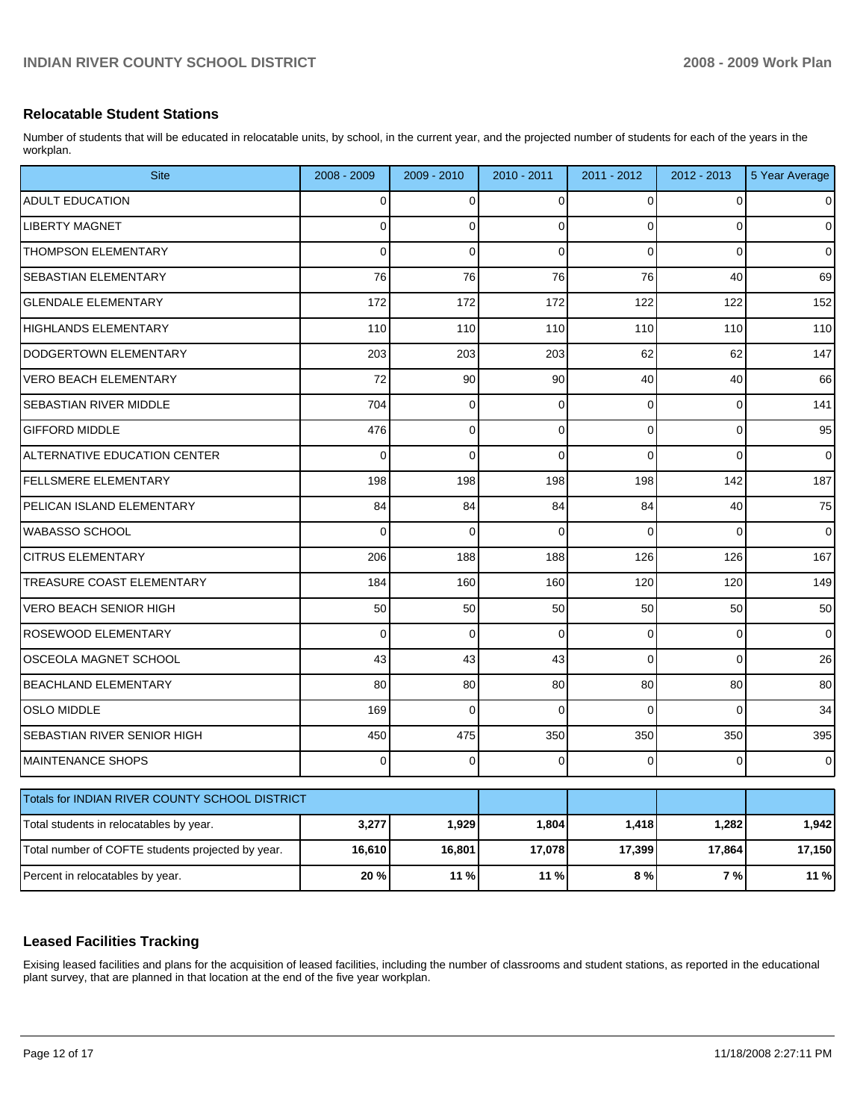#### **Relocatable Student Stations**

Number of students that will be educated in relocatable units, by school, in the current year, and the projected number of students for each of the years in the workplan.

| <b>Site</b>                                       | 2008 - 2009    | 2009 - 2010 | 2010 - 2011    | 2011 - 2012 | 2012 - 2013    | 5 Year Average      |
|---------------------------------------------------|----------------|-------------|----------------|-------------|----------------|---------------------|
| <b>ADULT EDUCATION</b>                            | 0              | 0           | $\Omega$       | $\Omega$    | 0              | $\overline{0}$      |
| <b>LIBERTY MAGNET</b>                             | $\overline{0}$ | $\mathbf 0$ | $\Omega$       | $\Omega$    | $\overline{0}$ | $\mathsf{O}\xspace$ |
| THOMPSON ELEMENTARY                               | $\Omega$       | $\mathbf 0$ | $\mathbf 0$    | $\Omega$    | $\mathbf 0$    | $\pmb{0}$           |
| SEBASTIAN ELEMENTARY                              | 76             | 76          | 76             | 76          | 40             | 69                  |
| <b>GLENDALE ELEMENTARY</b>                        | 172            | 172         | 172            | 122         | 122            | 152                 |
| HIGHLANDS ELEMENTARY                              | 110            | 110         | 110            | 110         | 110            | 110                 |
| DODGERTOWN ELEMENTARY                             | 203            | 203         | 203            | 62          | 62             | 147                 |
| <b>VERO BEACH ELEMENTARY</b>                      | 72             | 90          | 90             | 40          | 40             | 66                  |
| SEBASTIAN RIVER MIDDLE                            | 704            | 0           | 0              | $\Omega$    | $\mathbf 0$    | 141                 |
| <b>GIFFORD MIDDLE</b>                             | 476            | $\mathbf 0$ | $\overline{0}$ | $\Omega$    | $\mathbf 0$    | 95                  |
| ALTERNATIVE EDUCATION CENTER                      | $\Omega$       | $\Omega$    | $\Omega$       | $\Omega$    | $\mathbf 0$    | $\mathbf 0$         |
| FELLSMERE ELEMENTARY                              | 198            | 198         | 198            | 198         | 142            | 187                 |
| PELICAN ISLAND ELEMENTARY                         | 84             | 84          | 84             | 84          | 40             | 75                  |
| <b>WABASSO SCHOOL</b>                             | $\Omega$       | $\mathbf 0$ | $\Omega$       | $\Omega$    | $\Omega$       | $\mathbf 0$         |
| <b>CITRUS ELEMENTARY</b>                          | 206            | 188         | 188            | 126         | 126            | 167                 |
| TREASURE COAST ELEMENTARY                         | 184            | 160         | 160            | 120         | 120            | 149                 |
| <b>VERO BEACH SENIOR HIGH</b>                     | 50             | 50          | 50             | 50          | 50             | 50                  |
| ROSEWOOD ELEMENTARY                               | 0              | $\mathbf 0$ | $\overline{0}$ | 0           | $\mathbf 0$    | $\mathsf{O}\xspace$ |
| OSCEOLA MAGNET SCHOOL                             | 43             | 43          | 43             | $\Omega$    | $\mathbf{0}$   | 26                  |
| BEACHLAND ELEMENTARY                              | 80             | 80          | 80             | 80          | 80             | 80                  |
| <b>OSLO MIDDLE</b>                                | 169            | $\Omega$    | $\Omega$       | $\Omega$    | $\Omega$       | 34                  |
| SEBASTIAN RIVER SENIOR HIGH                       | 450            | 475         | 350            | 350         | 350            | 395                 |
| <b>MAINTENANCE SHOPS</b>                          | 0              | 0           | $\Omega$       | $\Omega$    | $\mathbf 0$    | $\overline{0}$      |
| Totals for INDIAN RIVER COUNTY SCHOOL DISTRICT    |                |             |                |             |                |                     |
| Total students in relocatables by year.           | 3,277          | 1,929       | 1,804          | 1,418       | 1,282          | 1,942               |
| Total number of COFTE students projected by year. | 16,610         | 16,801      | 17,078         | 17,399      | 17,864         | 17,150              |
|                                                   |                |             |                |             |                |                     |
| Percent in relocatables by year.                  | 20 %           | 11 %        | 11 %           | 8%          | 7%             | 11 %                |

### **Leased Facilities Tracking**

Exising leased facilities and plans for the acquisition of leased facilities, including the number of classrooms and student stations, as reported in the educational plant survey, that are planned in that location at the end of the five year workplan.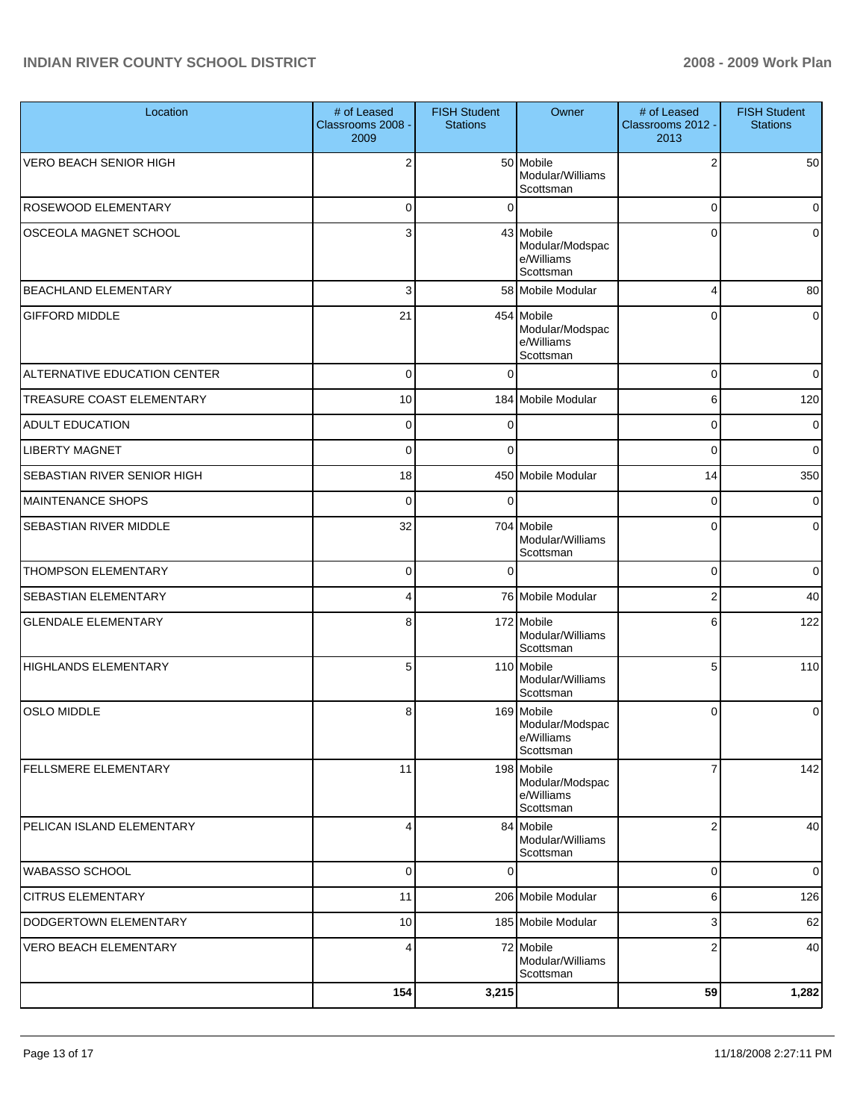| Location                         | # of Leased<br>Classrooms 2008 -<br>2009 | <b>FISH Student</b><br><b>Stations</b> | Owner                                                    | # of Leased<br>Classrooms 2012 -<br>2013 | <b>FISH Student</b><br><b>Stations</b> |
|----------------------------------|------------------------------------------|----------------------------------------|----------------------------------------------------------|------------------------------------------|----------------------------------------|
| <b>VERO BEACH SENIOR HIGH</b>    | $\overline{2}$                           |                                        | 50 Mobile<br>Modular/Williams<br>Scottsman               | $\overline{2}$                           | 50                                     |
| ROSEWOOD ELEMENTARY              | 0                                        | $\Omega$                               |                                                          | $\mathbf 0$                              | $\mathbf 0$                            |
| <b>OSCEOLA MAGNET SCHOOL</b>     | 3                                        |                                        | 43 Mobile<br>Modular/Modspac<br>e/Williams<br>Scottsman  | $\Omega$                                 | $\Omega$                               |
| <b>BEACHLAND ELEMENTARY</b>      | 3                                        |                                        | 58 Mobile Modular                                        | 4                                        | 80                                     |
| <b>GIFFORD MIDDLE</b>            | 21                                       |                                        | 454 Mobile<br>Modular/Modspac<br>e/Williams<br>Scottsman | 0                                        | 0                                      |
| ALTERNATIVE EDUCATION CENTER     | $\mathbf 0$                              | $\Omega$                               |                                                          | 0                                        | $\mathbf 0$                            |
| <b>TREASURE COAST ELEMENTARY</b> | 10                                       |                                        | 184 Mobile Modular                                       | 6                                        | 120                                    |
| <b>ADULT EDUCATION</b>           | $\mathbf 0$                              | 0                                      |                                                          | 0                                        | 0                                      |
| <b>LIBERTY MAGNET</b>            | $\mathbf 0$                              | 0                                      |                                                          | 0                                        | $\mathbf 0$                            |
| SEBASTIAN RIVER SENIOR HIGH      | 18                                       |                                        | 450 Mobile Modular                                       | 14                                       | 350                                    |
| <b>MAINTENANCE SHOPS</b>         | $\mathbf 0$                              | $\Omega$                               |                                                          | 0                                        | 0                                      |
| SEBASTIAN RIVER MIDDLE           | 32                                       |                                        | 704 Mobile<br>Modular/Williams<br>Scottsman              | 0                                        | 0                                      |
| <b>THOMPSON ELEMENTARY</b>       | $\mathbf 0$                              | $\Omega$                               |                                                          | 0                                        | $\mathbf 0$                            |
| <b>SEBASTIAN ELEMENTARY</b>      | 4                                        |                                        | 76 Mobile Modular                                        | $\boldsymbol{2}$                         | 40                                     |
| <b>GLENDALE ELEMENTARY</b>       | 8                                        |                                        | 172 Mobile<br>Modular/Williams<br>Scottsman              | 6                                        | 122                                    |
| <b>HIGHLANDS ELEMENTARY</b>      | 5                                        |                                        | 110 Mobile<br>Modular/Williams<br>Scottsman              | 5                                        | 110                                    |
| <b>OSLO MIDDLE</b>               | 8                                        |                                        | 169 Mobile<br>Modular/Modspac<br>e/Williams<br>Scottsman | $\mathbf 0$                              | $\Omega$                               |
| <b>FELLSMERE ELEMENTARY</b>      | 11                                       |                                        | 198 Mobile<br>Modular/Modspac<br>e/Williams<br>Scottsman | $\overline{7}$                           | 142                                    |
| PELICAN ISLAND ELEMENTARY        | $\overline{4}$                           |                                        | 84 Mobile<br>Modular/Williams<br>Scottsman               | $\boldsymbol{2}$                         | 40                                     |
| WABASSO SCHOOL                   | 0                                        | 0                                      |                                                          | $\mathbf 0$                              | $\mathbf 0$                            |
| <b>CITRUS ELEMENTARY</b>         | 11                                       |                                        | 206 Mobile Modular                                       | 6                                        | 126                                    |
| DODGERTOWN ELEMENTARY            | 10                                       |                                        | 185 Mobile Modular                                       | 3                                        | 62                                     |
| <b>VERO BEACH ELEMENTARY</b>     | $\overline{4}$                           |                                        | 72 Mobile<br>Modular/Williams<br>Scottsman               | $\overline{2}$                           | 40                                     |
|                                  | 154                                      | 3,215                                  |                                                          | 59                                       | 1,282                                  |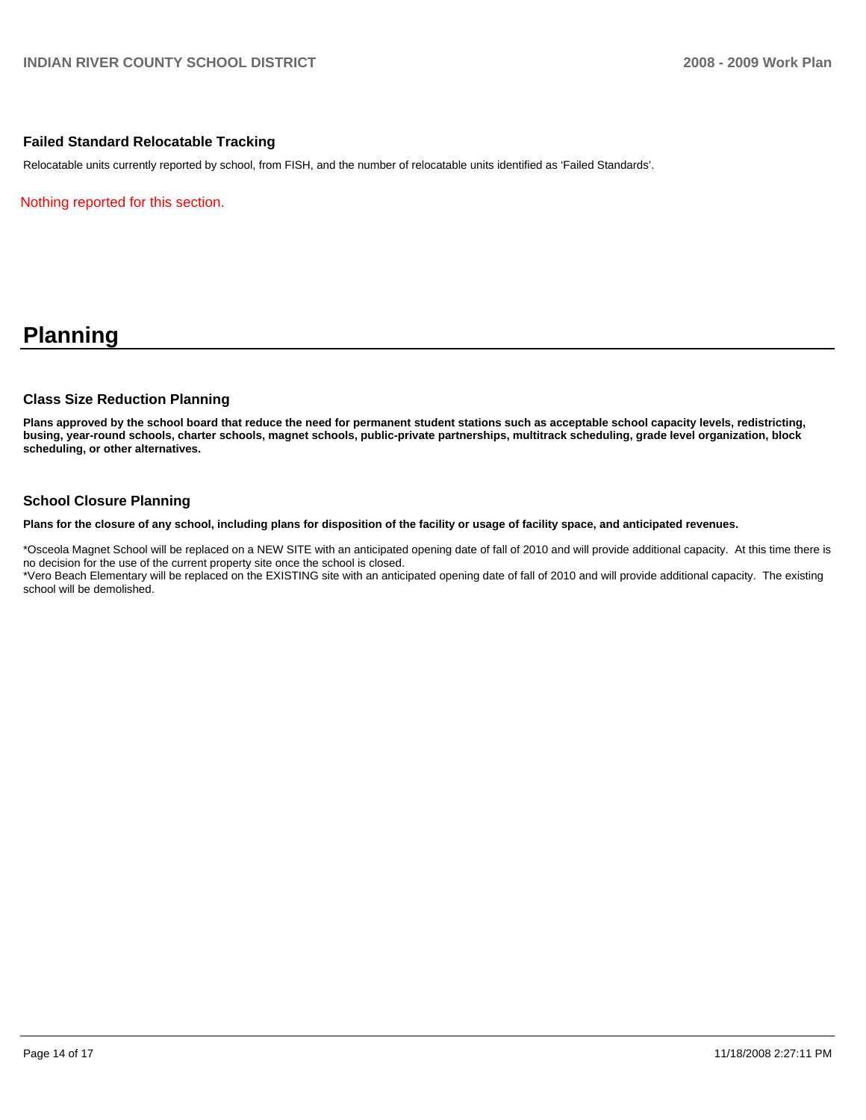#### **Failed Standard Relocatable Tracking**

Relocatable units currently reported by school, from FISH, and the number of relocatable units identified as 'Failed Standards'.

Nothing reported for this section.

# **Planning**

#### **Class Size Reduction Planning**

**Plans approved by the school board that reduce the need for permanent student stations such as acceptable school capacity levels, redistricting, busing, year-round schools, charter schools, magnet schools, public-private partnerships, multitrack scheduling, grade level organization, block scheduling, or other alternatives.** 

#### **School Closure Planning**

**Plans for the closure of any school, including plans for disposition of the facility or usage of facility space, and anticipated revenues.** 

\*Osceola Magnet School will be replaced on a NEW SITE with an anticipated opening date of fall of 2010 and will provide additional capacity. At this time there is no decision for the use of the current property site once the school is closed.

\*Vero Beach Elementary will be replaced on the EXISTING site with an anticipated opening date of fall of 2010 and will provide additional capacity. The existing school will be demolished.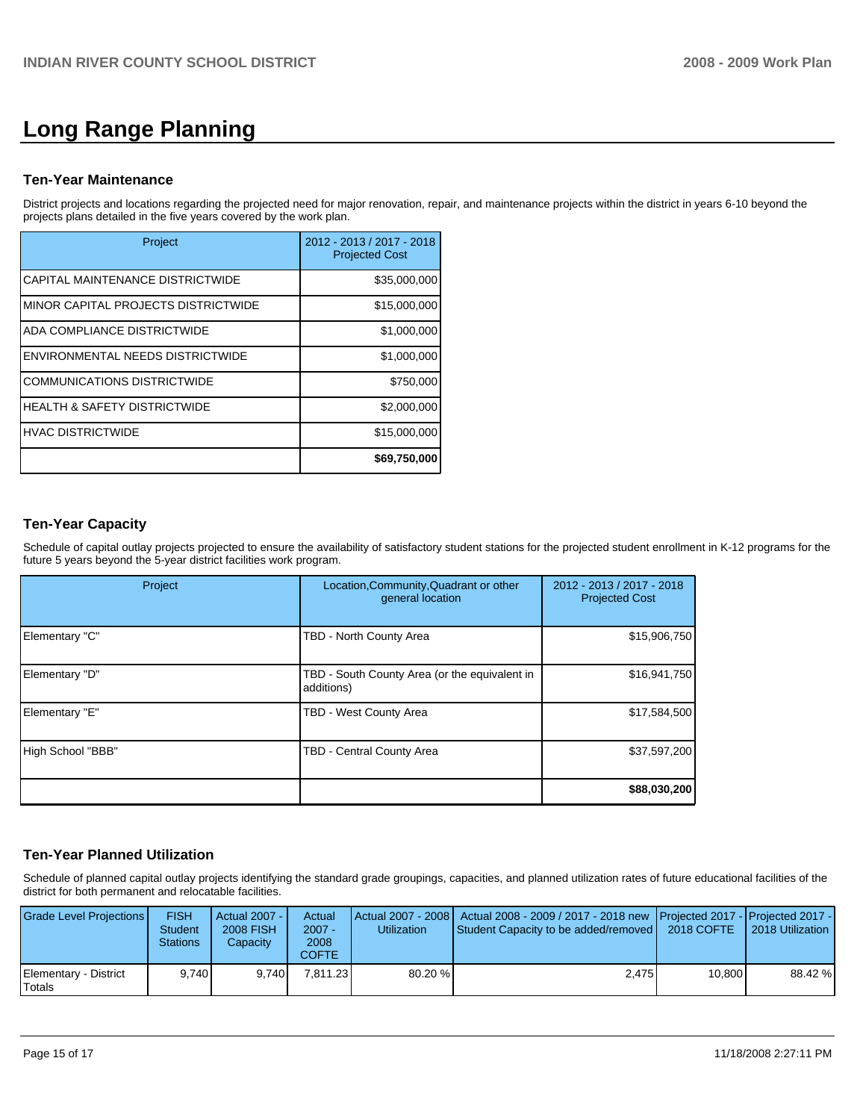# **Long Range Planning**

#### **Ten-Year Maintenance**

District projects and locations regarding the projected need for major renovation, repair, and maintenance projects within the district in years 6-10 beyond the projects plans detailed in the five years covered by the work plan.

| Project                                 | 2012 - 2013 / 2017 - 2018<br><b>Projected Cost</b> |
|-----------------------------------------|----------------------------------------------------|
| CAPITAL MAINTENANCE DISTRICTWIDE        | \$35,000,000                                       |
| MINOR CAPITAL PROJECTS DISTRICTWIDE     | \$15,000,000                                       |
| ADA COMPLIANCE DISTRICTWIDE             | \$1,000,000                                        |
| ENVIRONMENTAL NEEDS DISTRICTWIDE        | \$1,000,000                                        |
| <b>COMMUNICATIONS DISTRICTWIDE</b>      | \$750,000                                          |
| <b>HEALTH &amp; SAFETY DISTRICTWIDE</b> | \$2,000,000                                        |
| <b>HVAC DISTRICTWIDE</b>                | \$15,000,000                                       |
|                                         | \$69,750,000                                       |

# **Ten-Year Capacity**

Schedule of capital outlay projects projected to ensure the availability of satisfactory student stations for the projected student enrollment in K-12 programs for the future 5 years beyond the 5-year district facilities work program.

| Project           | Location, Community, Quadrant or other<br>general location  | 2012 - 2013 / 2017 - 2018<br><b>Projected Cost</b> |  |
|-------------------|-------------------------------------------------------------|----------------------------------------------------|--|
| Elementary "C"    | TBD - North County Area                                     | \$15,906,750                                       |  |
| Elementary "D"    | TBD - South County Area (or the equivalent in<br>additions) | \$16,941,750                                       |  |
| Elementary "E"    | TBD - West County Area                                      | \$17,584,500                                       |  |
| High School "BBB" | TBD - Central County Area                                   | \$37,597,200                                       |  |
|                   |                                                             | \$88,030,200                                       |  |

### **Ten-Year Planned Utilization**

Schedule of planned capital outlay projects identifying the standard grade groupings, capacities, and planned utilization rates of future educational facilities of the district for both permanent and relocatable facilities.

| Grade Level Projections         | <b>FISH</b><br><b>Student</b><br><b>Stations</b> | Actual 2007 -<br>2008 FISH<br>Capacity | Actual<br>$2007 -$<br>2008<br>COFTE | <b>Utilization</b> | Actual 2007 - 2008   Actual 2008 - 2009 / 2017 - 2018 new Projected 2017 - Projected 2017 -<br>Student Capacity to be added/removed | 2018 COFTE | 2018 Utilization |
|---------------------------------|--------------------------------------------------|----------------------------------------|-------------------------------------|--------------------|-------------------------------------------------------------------------------------------------------------------------------------|------------|------------------|
| Elementary - District<br>Totals | 9.740                                            | 9.740                                  | 7.811.23                            | 80.20 %            | 2.475                                                                                                                               | 10.800     | 88.42 %          |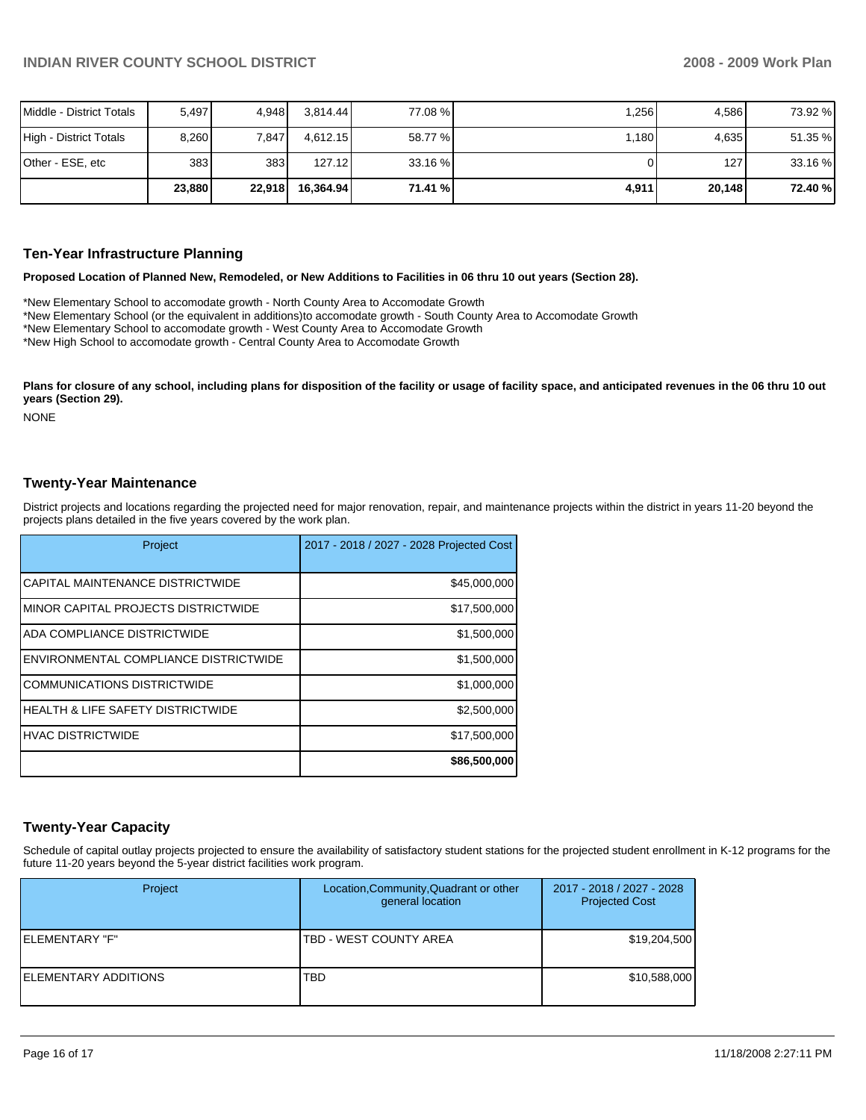| Middle - District Totals | 5.497  | 4.948  | 3.814.44  | 77.08 % | 1,256 | 4.586  | 73.92 % |
|--------------------------|--------|--------|-----------|---------|-------|--------|---------|
| High - District Totals   | 8,260  | 7,847  | 4.612.15  | 58.77 % | 1,180 | 4,635  | 51.35 % |
| Other - ESE, etc         | 383    | 383    | 127.12    | 33.16 % |       | 127 I  | 33.16 % |
|                          | 23,880 | 22,918 | 16.364.94 | 71.41 % | 4,911 | 20.148 | 72.40 % |

#### **Ten-Year Infrastructure Planning**

#### **Proposed Location of Planned New, Remodeled, or New Additions to Facilities in 06 thru 10 out years (Section 28).**

\*New Elementary School to accomodate growth - North County Area to Accomodate Growth��

- \*New Elementary School (or the equivalent in additions)to accomodate growth South County Area to Accomodate Growth��
- \*New Elementary School to accomodate growth West County Area to Accomodate Growth��

\*New High School to accomodate growth - Central County Area to Accomodate Growth

Plans for closure of any school, including plans for disposition of the facility or usage of facility space, and anticipated revenues in the 06 thru 10 out **years (Section 29).** 

NONE

#### **Twenty-Year Maintenance**

District projects and locations regarding the projected need for major renovation, repair, and maintenance projects within the district in years 11-20 beyond the projects plans detailed in the five years covered by the work plan.

| Project                                      | 2017 - 2018 / 2027 - 2028 Projected Cost |
|----------------------------------------------|------------------------------------------|
| CAPITAL MAINTENANCE DISTRICTWIDE             | \$45,000,000                             |
| IMINOR CAPITAL PROJECTS DISTRICTWIDE         | \$17,500,000                             |
| ADA COMPLIANCE DISTRICTWIDE                  | \$1,500,000                              |
| ENVIRONMENTAL COMPLIANCE DISTRICTWIDE        | \$1,500,000                              |
| <b>COMMUNICATIONS DISTRICTWIDE</b>           | \$1,000,000                              |
| <b>HEALTH &amp; LIFE SAFETY DISTRICTWIDE</b> | \$2,500,000                              |
| <b>HVAC DISTRICTWIDE</b>                     | \$17,500,000                             |
|                                              | \$86,500,000                             |

#### **Twenty-Year Capacity**

Schedule of capital outlay projects projected to ensure the availability of satisfactory student stations for the projected student enrollment in K-12 programs for the future 11-20 years beyond the 5-year district facilities work program.

| Project              | Location, Community, Quadrant or other<br>general location | 2017 - 2018 / 2027 - 2028<br><b>Projected Cost</b> |
|----------------------|------------------------------------------------------------|----------------------------------------------------|
| IELEMENTARY "F"      | TBD - WEST COUNTY AREA                                     | \$19,204,500                                       |
| ELEMENTARY ADDITIONS | <b>TBD</b>                                                 | \$10,588,000                                       |